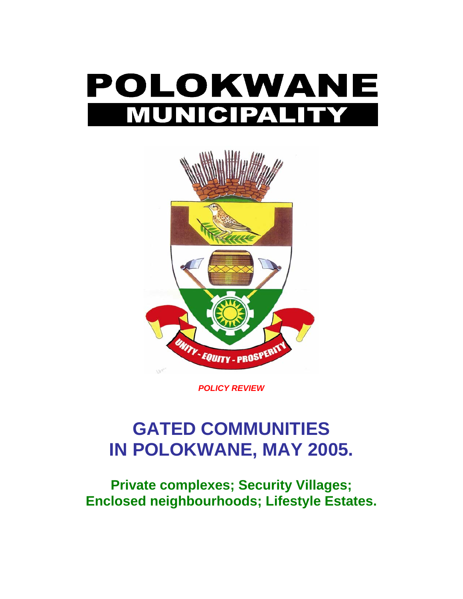



*POLICY REVIEW* 

# **GATED COMMUNITIES IN POLOKWANE, MAY 2005.**

**Private complexes; Security Villages; Enclosed neighbourhoods; Lifestyle Estates.**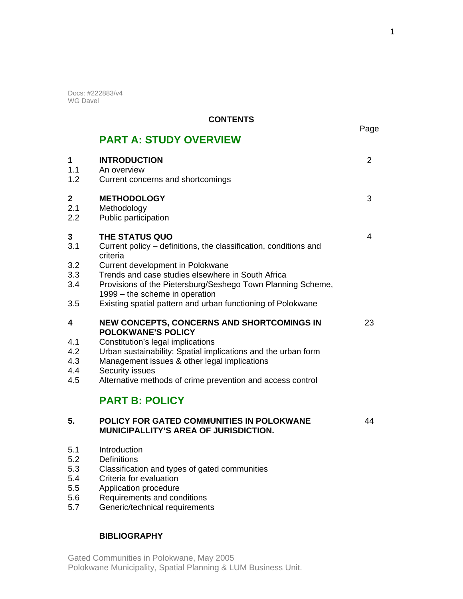Docs: #222883/v4 WG Davel

 $1.1$ <br> $1.2$ 

 $2.1$  $2.2$ 

 $4.4$ <br> $4.5$ 

 $5.1$  $5.2$ 

 $5.4$  $5.5$ 

## **CONTENTS**

|                                 |                                                                                                                                                                                                                                     | Page           |
|---------------------------------|-------------------------------------------------------------------------------------------------------------------------------------------------------------------------------------------------------------------------------------|----------------|
|                                 | <b>PART A: STUDY OVERVIEW</b>                                                                                                                                                                                                       |                |
| 1<br>1.1<br>1.2                 | <b>INTRODUCTION</b><br>An overview<br>Current concerns and shortcomings                                                                                                                                                             | $\overline{2}$ |
| 2<br>2.1<br>2.2                 | <b>METHODOLOGY</b><br>Methodology<br>Public participation                                                                                                                                                                           | 3              |
| 3<br>3.1                        | THE STATUS QUO<br>Current policy – definitions, the classification, conditions and<br>criteria                                                                                                                                      | 4              |
| 3.2<br>3.3<br>3.4               | Current development in Polokwane<br>Trends and case studies elsewhere in South Africa<br>Provisions of the Pietersburg/Seshego Town Planning Scheme,<br>1999 – the scheme in operation                                              |                |
| 3.5                             | Existing spatial pattern and urban functioning of Polokwane                                                                                                                                                                         |                |
| 4                               | <b>NEW CONCEPTS, CONCERNS AND SHORTCOMINGS IN</b><br><b>POLOKWANE'S POLICY</b>                                                                                                                                                      | 23             |
| 4.1<br>4.2<br>4.3<br>4.4<br>4.5 | Constitution's legal implications<br>Urban sustainability: Spatial implications and the urban form<br>Management issues & other legal implications<br>Security issues<br>Alternative methods of crime prevention and access control |                |
|                                 | <b>PART B: POLICY</b>                                                                                                                                                                                                               |                |
| 5.                              | POLICY FOR GATED COMMUNITIES IN POLOKWANE<br><b>MUNICIPALLITY'S AREA OF JURISDICTION.</b>                                                                                                                                           | 44             |
| 5.1<br>5.2<br>5.3<br>5.4<br>5.5 | Introduction<br><b>Definitions</b><br>Classification and types of gated communities<br>Criteria for evaluation<br>Application procedure                                                                                             |                |
| 5.6                             | Requirements and conditions                                                                                                                                                                                                         |                |

 $5.6$ <br> $5.7$ 5.7 Generic/technical requirements

## **BIBLIOGRAPHY**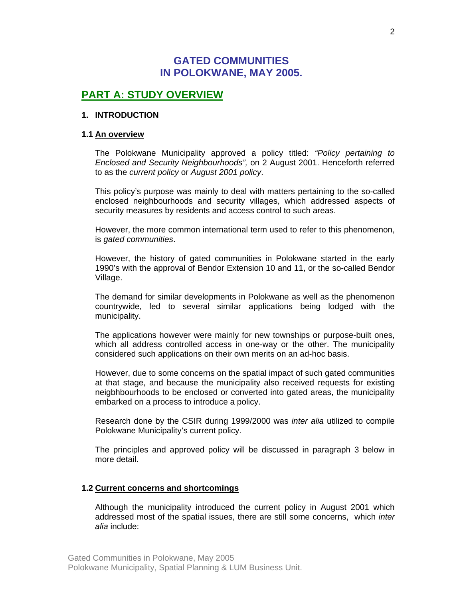# **GATED COMMUNITIES IN POLOKWANE, MAY 2005.**

# **PART A: STUDY OVERVIEW**

#### **1. INTRODUCTION**

#### **1.1 An overview**

The Polokwane Municipality approved a policy titled: *"Policy pertaining to Enclosed and Security Neighbourhoods",* on 2 August 2001. Henceforth referred to as the *current policy* or *August 2001 policy*.

This policy's purpose was mainly to deal with matters pertaining to the so-called enclosed neighbourhoods and security villages, which addressed aspects of security measures by residents and access control to such areas.

However, the more common international term used to refer to this phenomenon, is *gated communities*.

However, the history of gated communities in Polokwane started in the early 1990's with the approval of Bendor Extension 10 and 11, or the so-called Bendor Village.

The demand for similar developments in Polokwane as well as the phenomenon countrywide, led to several similar applications being lodged with the municipality.

The applications however were mainly for new townships or purpose-built ones, which all address controlled access in one-way or the other. The municipality considered such applications on their own merits on an ad-hoc basis.

However, due to some concerns on the spatial impact of such gated communities at that stage, and because the municipality also received requests for existing neigbhbourhoods to be enclosed or converted into gated areas, the municipality embarked on a process to introduce a policy.

Research done by the CSIR during 1999/2000 was *inter alia* utilized to compile Polokwane Municipality's current policy.

The principles and approved policy will be discussed in paragraph 3 below in more detail.

#### **1.2 Current concerns and shortcomings**

Although the municipality introduced the current policy in August 2001 which addressed most of the spatial issues, there are still some concerns, which *inter alia* include: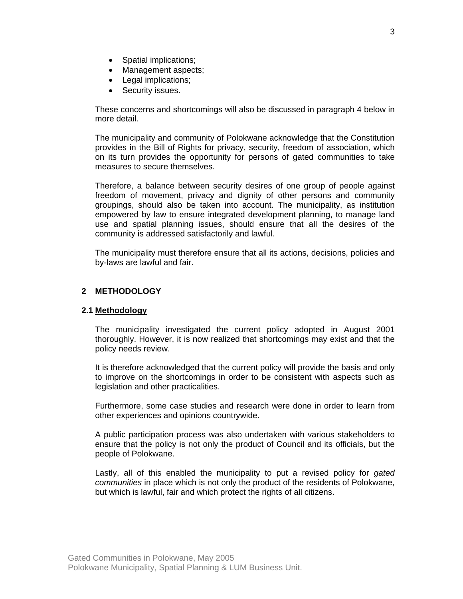- Spatial implications;
- Management aspects;
- Legal implications;
- Security issues.

These concerns and shortcomings will also be discussed in paragraph 4 below in more detail.

The municipality and community of Polokwane acknowledge that the Constitution provides in the Bill of Rights for privacy, security, freedom of association, which on its turn provides the opportunity for persons of gated communities to take measures to secure themselves.

Therefore, a balance between security desires of one group of people against freedom of movement, privacy and dignity of other persons and community groupings, should also be taken into account. The municipality, as institution empowered by law to ensure integrated development planning, to manage land use and spatial planning issues, should ensure that all the desires of the community is addressed satisfactorily and lawful.

The municipality must therefore ensure that all its actions, decisions, policies and by-laws are lawful and fair.

### **2 METHODOLOGY**

#### **2.1 Methodology**

The municipality investigated the current policy adopted in August 2001 thoroughly. However, it is now realized that shortcomings may exist and that the policy needs review.

It is therefore acknowledged that the current policy will provide the basis and only to improve on the shortcomings in order to be consistent with aspects such as legislation and other practicalities.

Furthermore, some case studies and research were done in order to learn from other experiences and opinions countrywide.

A public participation process was also undertaken with various stakeholders to ensure that the policy is not only the product of Council and its officials, but the people of Polokwane.

Lastly, all of this enabled the municipality to put a revised policy for *gated communities* in place which is not only the product of the residents of Polokwane, but which is lawful, fair and which protect the rights of all citizens.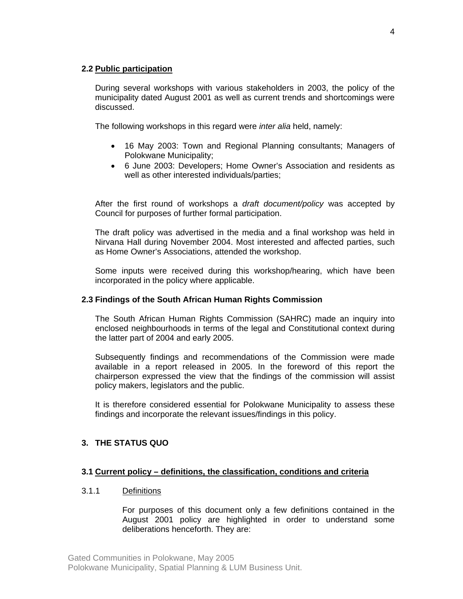#### **2.2 Public participation**

During several workshops with various stakeholders in 2003, the policy of the municipality dated August 2001 as well as current trends and shortcomings were discussed.

The following workshops in this regard were *inter alia* held, namely:

- 16 May 2003: Town and Regional Planning consultants; Managers of Polokwane Municipality;
- 6 June 2003: Developers; Home Owner's Association and residents as well as other interested individuals/parties;

After the first round of workshops a *draft document/policy* was accepted by Council for purposes of further formal participation.

The draft policy was advertised in the media and a final workshop was held in Nirvana Hall during November 2004. Most interested and affected parties, such as Home Owner's Associations, attended the workshop.

Some inputs were received during this workshop/hearing, which have been incorporated in the policy where applicable.

### **2.3 Findings of the South African Human Rights Commission**

The South African Human Rights Commission (SAHRC) made an inquiry into enclosed neighbourhoods in terms of the legal and Constitutional context during the latter part of 2004 and early 2005.

Subsequently findings and recommendations of the Commission were made available in a report released in 2005. In the foreword of this report the chairperson expressed the view that the findings of the commission will assist policy makers, legislators and the public.

It is therefore considered essential for Polokwane Municipality to assess these findings and incorporate the relevant issues/findings in this policy.

## **3. THE STATUS QUO**

#### **3.1 Current policy – definitions, the classification, conditions and criteria**

## 3.1.1 Definitions

For purposes of this document only a few definitions contained in the August 2001 policy are highlighted in order to understand some deliberations henceforth. They are: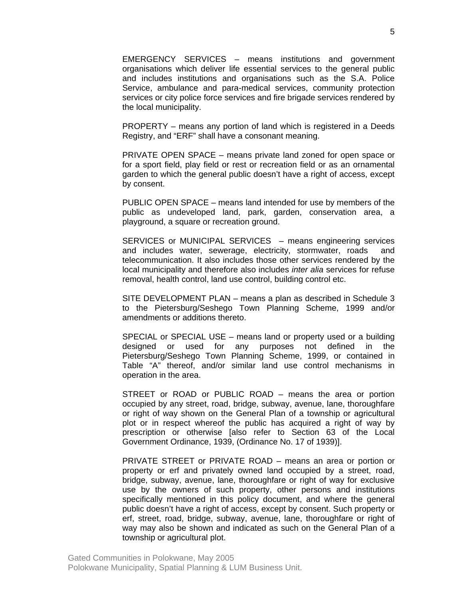EMERGENCY SERVICES – means institutions and government organisations which deliver life essential services to the general public and includes institutions and organisations such as the S.A. Police Service, ambulance and para-medical services, community protection services or city police force services and fire brigade services rendered by the local municipality.

PROPERTY – means any portion of land which is registered in a Deeds Registry, and "ERF" shall have a consonant meaning.

PRIVATE OPEN SPACE – means private land zoned for open space or for a sport field, play field or rest or recreation field or as an ornamental garden to which the general public doesn't have a right of access, except by consent.

PUBLIC OPEN SPACE – means land intended for use by members of the public as undeveloped land, park, garden, conservation area, a playground, a square or recreation ground.

SERVICES or MUNICIPAL SERVICES – means engineering services and includes water, sewerage, electricity, stormwater, roads and telecommunication. It also includes those other services rendered by the local municipality and therefore also includes *inter alia* services for refuse removal, health control, land use control, building control etc.

SITE DEVELOPMENT PLAN – means a plan as described in Schedule 3 to the Pietersburg/Seshego Town Planning Scheme, 1999 and/or amendments or additions thereto.

SPECIAL or SPECIAL USE – means land or property used or a building designed or used for any purposes not defined in the Pietersburg/Seshego Town Planning Scheme, 1999, or contained in Table "A" thereof, and/or similar land use control mechanisms in operation in the area.

STREET or ROAD or PUBLIC ROAD – means the area or portion occupied by any street, road, bridge, subway, avenue, lane, thoroughfare or right of way shown on the General Plan of a township or agricultural plot or in respect whereof the public has acquired a right of way by prescription or otherwise [also refer to Section 63 of the Local Government Ordinance, 1939, (Ordinance No. 17 of 1939)].

PRIVATE STREET or PRIVATE ROAD – means an area or portion or property or erf and privately owned land occupied by a street, road, bridge, subway, avenue, lane, thoroughfare or right of way for exclusive use by the owners of such property, other persons and institutions specifically mentioned in this policy document, and where the general public doesn't have a right of access, except by consent. Such property or erf, street, road, bridge, subway, avenue, lane, thoroughfare or right of way may also be shown and indicated as such on the General Plan of a township or agricultural plot.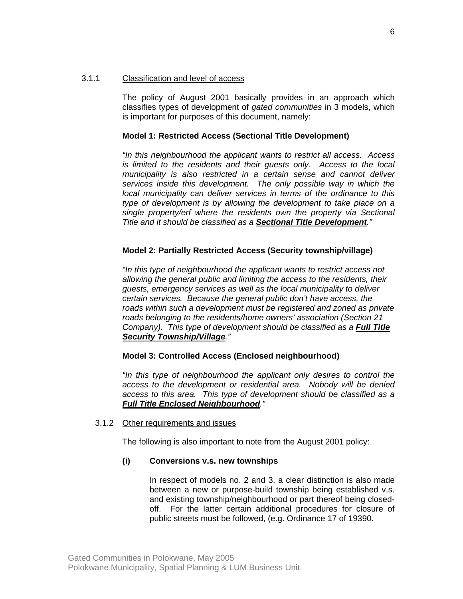#### 3.1.1 Classification and level of access

The policy of August 2001 basically provides in an approach which classifies types of development of *gated communities* in 3 models, which is important for purposes of this document, namely:

#### **Model 1: Restricted Access (Sectional Title Development)**

*"In this neighbourhood the applicant wants to restrict all access. Access is limited to the residents and their guests only. Access to the local municipality is also restricted in a certain sense and cannot deliver services inside this development. The only possible way in which the local municipality can deliver services in terms of the ordinance to this type of development is by allowing the development to take place on a single property/erf where the residents own the property via Sectional Title and it should be classified as a Sectional Title Development."* 

#### **Model 2: Partially Restricted Access (Security township/village)**

*"In this type of neighbourhood the applicant wants to restrict access not allowing the general public and limiting the access to the residents, their guests, emergency services as well as the local municipality to deliver certain services. Because the general public don't have access, the roads within such a development must be registered and zoned as private roads belonging to the residents/home owners' association (Section 21 Company). This type of development should be classified as a Full Title Security Township/Village."* 

#### **Model 3: Controlled Access (Enclosed neighbourhood)**

*"In this type of neighbourhood the applicant only desires to control the access to the development or residential area. Nobody will be denied access to this area. This type of development should be classified as a Full Title Enclosed Neighbourhood."*

#### 3.1.2 Other requirements and issues

The following is also important to note from the August 2001 policy:

#### **(i) Conversions v.s. new townships**

In respect of models no. 2 and 3, a clear distinction is also made between a new or purpose-build township being established v.s. and existing township/neighbourhood or part thereof being closedoff. For the latter certain additional procedures for closure of public streets must be followed, (e.g. Ordinance 17 of 19390.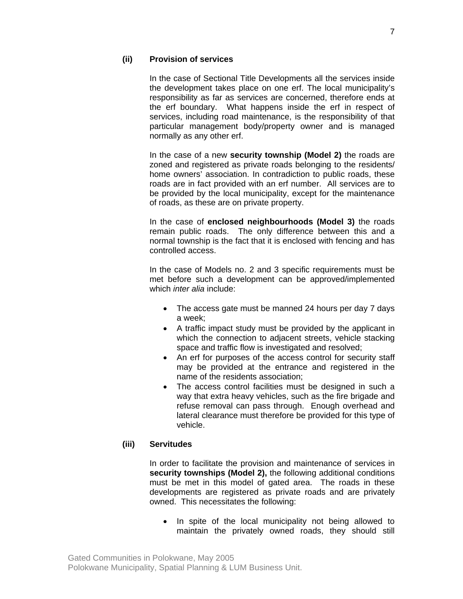## **(ii) Provision of services**

In the case of Sectional Title Developments all the services inside the development takes place on one erf. The local municipality's responsibility as far as services are concerned, therefore ends at the erf boundary. What happens inside the erf in respect of services, including road maintenance, is the responsibility of that particular management body/property owner and is managed normally as any other erf.

In the case of a new **security township (Model 2)** the roads are zoned and registered as private roads belonging to the residents/ home owners' association. In contradiction to public roads, these roads are in fact provided with an erf number. All services are to be provided by the local municipality, except for the maintenance of roads, as these are on private property.

In the case of **enclosed neighbourhoods (Model 3)** the roads remain public roads. The only difference between this and a normal township is the fact that it is enclosed with fencing and has controlled access.

In the case of Models no. 2 and 3 specific requirements must be met before such a development can be approved/implemented which *inter alia* include:

- The access gate must be manned 24 hours per day 7 days a week;
- A traffic impact study must be provided by the applicant in which the connection to adjacent streets, vehicle stacking space and traffic flow is investigated and resolved;
- An erf for purposes of the access control for security staff may be provided at the entrance and registered in the name of the residents association;
- The access control facilities must be designed in such a way that extra heavy vehicles, such as the fire brigade and refuse removal can pass through. Enough overhead and lateral clearance must therefore be provided for this type of vehicle.

## **(iii) Servitudes**

In order to facilitate the provision and maintenance of services in **security townships (Model 2),** the following additional conditions must be met in this model of gated area. The roads in these developments are registered as private roads and are privately owned. This necessitates the following:

• In spite of the local municipality not being allowed to maintain the privately owned roads, they should still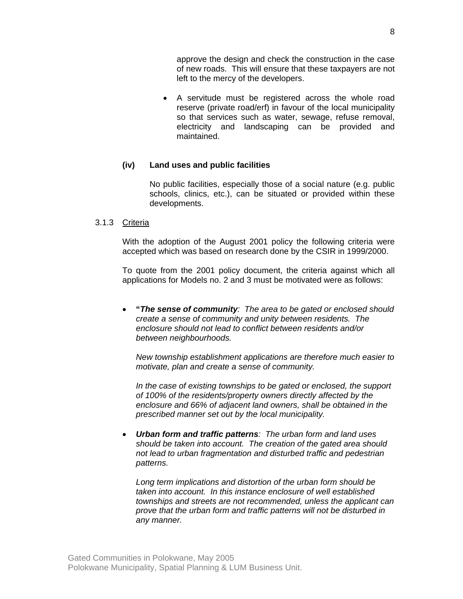approve the design and check the construction in the case of new roads. This will ensure that these taxpayers are not left to the mercy of the developers.

• A servitude must be registered across the whole road reserve (private road/erf) in favour of the local municipality so that services such as water, sewage, refuse removal, electricity and landscaping can be provided and maintained.

### **(iv) Land uses and public facilities**

No public facilities, especially those of a social nature (e.g. public schools, clinics, etc.), can be situated or provided within these developments.

#### 3.1.3 Criteria

With the adoption of the August 2001 policy the following criteria were accepted which was based on research done by the CSIR in 1999/2000.

To quote from the 2001 policy document, the criteria against which all applications for Models no. 2 and 3 must be motivated were as follows:

• **"***The sense of community: The area to be gated or enclosed should create a sense of community and unity between residents. The enclosure should not lead to conflict between residents and/or between neighbourhoods.* 

*New township establishment applications are therefore much easier to motivate, plan and create a sense of community.* 

*In the case of existing townships to be gated or enclosed, the support of 100% of the residents/property owners directly affected by the enclosure and 66% of adjacent land owners, shall be obtained in the prescribed manner set out by the local municipality.* 

• *Urban form and traffic patterns: The urban form and land uses should be taken into account. The creation of the gated area should not lead to urban fragmentation and disturbed traffic and pedestrian patterns.* 

*Long term implications and distortion of the urban form should be taken into account. In this instance enclosure of well established townships and streets are not recommended, unless the applicant can prove that the urban form and traffic patterns will not be disturbed in any manner.*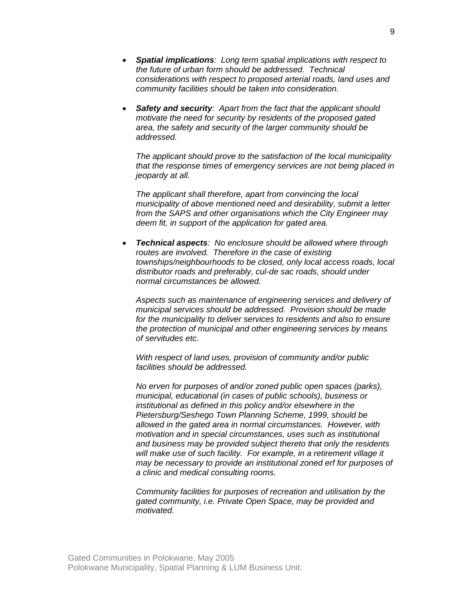- *Spatial implications: Long term spatial implications with respect to the future of urban form should be addressed. Technical considerations with respect to proposed arterial roads, land uses and community facilities should be taken into consideration.*
- *Safety and security: Apart from the fact that the applicant should motivate the need for security by residents of the proposed gated area, the safety and security of the larger community should be addressed.*

*The applicant should prove to the satisfaction of the local municipality that the response times of emergency services are not being placed in jeopardy at all.* 

*The applicant shall therefore, apart from convincing the local municipality of above mentioned need and desirability, submit a letter from the SAPS and other organisations which the City Engineer may deem fit, in support of the application for gated area.* 

• *Technical aspects: No enclosure should be allowed where through routes are involved. Therefore in the case of existing townships/neighbourhoods to be closed, only local access roads, local distributor roads and preferably, cul-de sac roads, should under normal circumstances be allowed.* 

*Aspects such as maintenance of engineering services and delivery of municipal services should be addressed. Provision should be made for the municipality to deliver services to residents and also to ensure the protection of municipal and other engineering services by means of servitudes etc.* 

*With respect of land uses, provision of community and/or public facilities should be addressed.* 

*No erven for purposes of and/or zoned public open spaces (parks), municipal, educational (in cases of public schools), business or institutional as defined in this policy and/or elsewhere in the Pietersburg/Seshego Town Planning Scheme, 1999, should be allowed in the gated area in normal circumstances. However, with motivation and in special circumstances, uses such as institutional and business may be provided subject thereto that only the residents will make use of such facility. For example, in a retirement village it may be necessary to provide an institutional zoned erf for purposes of a clinic and medical consulting rooms.* 

*Community facilities for purposes of recreation and utilisation by the gated community, i.e. Private Open Space, may be provided and motivated.*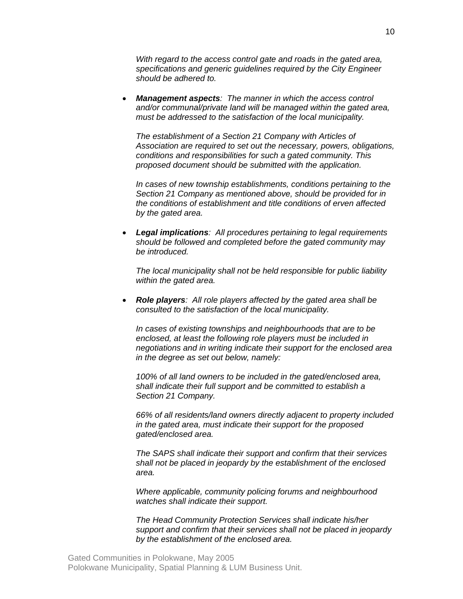*With regard to the access control gate and roads in the gated area, specifications and generic guidelines required by the City Engineer should be adhered to.* 

• *Management aspects: The manner in which the access control and/or communal/private land will be managed within the gated area, must be addressed to the satisfaction of the local municipality.* 

*The establishment of a Section 21 Company with Articles of Association are required to set out the necessary, powers, obligations, conditions and responsibilities for such a gated community. This proposed document should be submitted with the application.* 

*In cases of new township establishments, conditions pertaining to the Section 21 Company as mentioned above, should be provided for in the conditions of establishment and title conditions of erven affected by the gated area.* 

• *Legal implications: All procedures pertaining to legal requirements should be followed and completed before the gated community may be introduced.* 

*The local municipality shall not be held responsible for public liability within the gated area.* 

• *Role players: All role players affected by the gated area shall be consulted to the satisfaction of the local municipality.* 

*In cases of existing townships and neighbourhoods that are to be enclosed, at least the following role players must be included in negotiations and in writing indicate their support for the enclosed area in the degree as set out below, namely:* 

*100% of all land owners to be included in the gated/enclosed area, shall indicate their full support and be committed to establish a Section 21 Company.* 

*66% of all residents/land owners directly adjacent to property included in the gated area, must indicate their support for the proposed gated/enclosed area.* 

*The SAPS shall indicate their support and confirm that their services shall not be placed in jeopardy by the establishment of the enclosed area.* 

*Where applicable, community policing forums and neighbourhood watches shall indicate their support.* 

*The Head Community Protection Services shall indicate his/her support and confirm that their services shall not be placed in jeopardy by the establishment of the enclosed area.*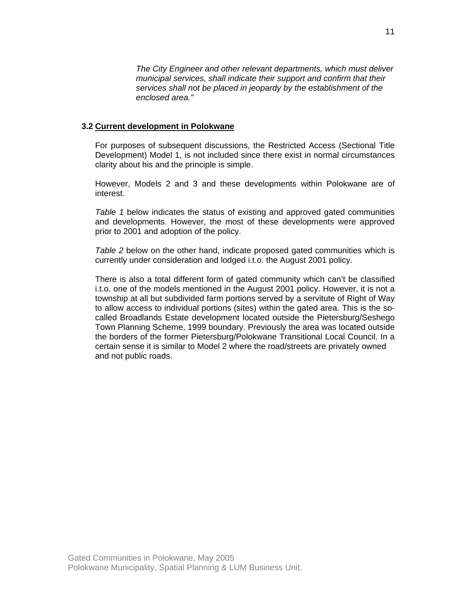*The City Engineer and other relevant departments, which must deliver municipal services, shall indicate their support and confirm that their services shall not be placed in jeopardy by the establishment of the enclosed area."*

#### **3.2 Current development in Polokwane**

For purposes of subsequent discussions, the Restricted Access (Sectional Title Development) Model 1, is not included since there exist in normal circumstances clarity about his and the principle is simple.

However, Models 2 and 3 and these developments within Polokwane are of interest.

*Table 1* below indicates the status of existing and approved gated communities and developments. However, the most of these developments were approved prior to 2001 and adoption of the policy.

*Table 2* below on the other hand, indicate proposed gated communities which is currently under consideration and lodged i.t.o. the August 2001 policy.

There is also a total different form of gated community which can't be classified i.t.o. one of the models mentioned in the August 2001 policy. However, it is not a township at all but subdivided farm portions served by a servitute of Right of Way to allow access to individual portions (sites) within the gated area. This is the socalled Broadlands Estate development located outside the Pietersburg/Seshego Town Planning Scheme, 1999 boundary. Previously the area was located outside the borders of the former Pietersburg/Polokwane Transitional Local Council. In a certain sense it is similar to Model 2 where the road/streets are privately owned and not public roads.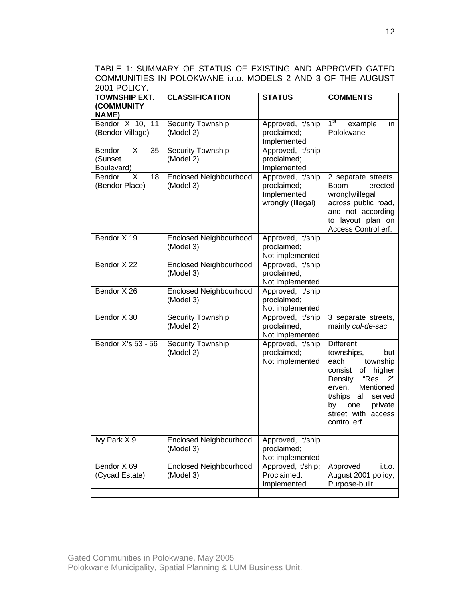TABLE 1: SUMMARY OF STATUS OF EXISTING AND APPROVED GATED COMMUNITIES IN POLOKWANE i.r.o. MODELS 2 AND 3 OF THE AUGUST 2001 POLICY.

| <b>TOWNSHIP EXT.</b>                       | <b>CLASSIFICATION</b>                      | <b>STATUS</b>                                                       | <b>COMMENTS</b>                                                                                                                                                                                                                |  |  |
|--------------------------------------------|--------------------------------------------|---------------------------------------------------------------------|--------------------------------------------------------------------------------------------------------------------------------------------------------------------------------------------------------------------------------|--|--|
| (COMMUNITY<br><b>NAME)</b>                 |                                            |                                                                     |                                                                                                                                                                                                                                |  |  |
| Bendor X 10, 11<br>(Bendor Village)        | <b>Security Township</b><br>(Model 2)      | Approved, t/ship<br>proclaimed;<br>Implemented                      | 1 <sup>st</sup><br>example<br>in<br>Polokwane                                                                                                                                                                                  |  |  |
| Bendor<br>35<br>X<br>(Sunset<br>Boulevard) | Security Township<br>(Model 2)             | Approved, t/ship<br>proclaimed;<br>Implemented                      |                                                                                                                                                                                                                                |  |  |
| X<br>Bendor<br>18<br>(Bendor Place)        | <b>Enclosed Neighbourhood</b><br>(Model 3) | Approved, t/ship<br>proclaimed;<br>Implemented<br>wrongly (Illegal) | 2 separate streets.<br><b>Boom</b><br>erected<br>wrongly/illegal<br>across public road,<br>and not according<br>to layout plan on<br>Access Control erf.                                                                       |  |  |
| Bendor X 19                                | <b>Enclosed Neighbourhood</b><br>(Model 3) | Approved, t/ship<br>proclaimed;<br>Not implemented                  |                                                                                                                                                                                                                                |  |  |
| Bendor X 22                                | <b>Enclosed Neighbourhood</b><br>(Model 3) | Approved, t/ship<br>proclaimed;<br>Not implemented                  |                                                                                                                                                                                                                                |  |  |
| Bendor X 26                                | <b>Enclosed Neighbourhood</b><br>(Model 3) | Approved, t/ship<br>proclaimed;<br>Not implemented                  |                                                                                                                                                                                                                                |  |  |
| Bendor X 30                                | Security Township<br>(Model 2)             | Approved, t/ship<br>proclaimed;<br>Not implemented                  | 3 separate streets,<br>mainly cul-de-sac                                                                                                                                                                                       |  |  |
| Bendor X's 53 - 56                         | Security Township<br>(Model 2)             | Approved, t/ship<br>proclaimed;<br>Not implemented                  | <b>Different</b><br>townships,<br>but<br>township<br>each<br>higher<br>consist<br>of<br>"Res<br>Density<br>2"<br>Mentioned<br>erven.<br>t/ships<br>all<br>served<br>by<br>one<br>private<br>street with access<br>control erf. |  |  |
| Ivy Park X 9                               | <b>Enclosed Neighbourhood</b><br>(Model 3) | Approved, t/ship<br>proclaimed;<br>Not implemented                  |                                                                                                                                                                                                                                |  |  |
| Bendor X 69<br>(Cycad Estate)              | <b>Enclosed Neighbourhood</b><br>(Model 3) | Approved, t/ship;<br>Proclaimed.<br>Implemented.                    | Approved<br>$i.t.$ o.<br>August 2001 policy;<br>Purpose-built.                                                                                                                                                                 |  |  |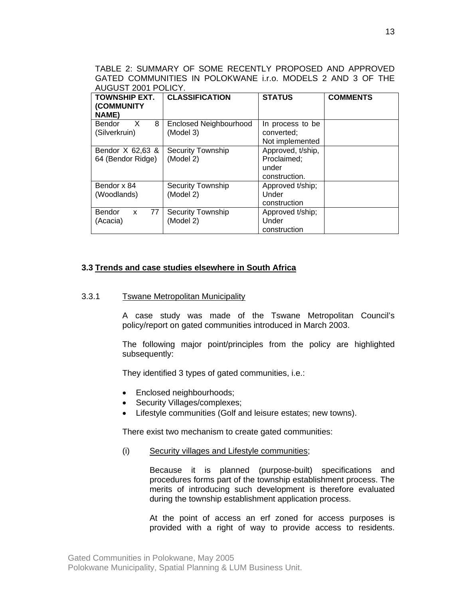TABLE 2: SUMMARY OF SOME RECENTLY PROPOSED AND APPROVED GATED COMMUNITIES IN POLOKWANE i.r.o. MODELS 2 AND 3 OF THE AUGUST 2001 POLICY.

| <b>TOWNSHIP EXT.</b><br>(COMMUNITY<br><b>NAME)</b> | <b>CLASSIFICATION</b>                      | <b>STATUS</b>                                              | <b>COMMENTS</b> |
|----------------------------------------------------|--------------------------------------------|------------------------------------------------------------|-----------------|
| $\times$<br>8<br>Bendor<br>(Silverkruin)           | <b>Enclosed Neighbourhood</b><br>(Model 3) | In process to be<br>converted;<br>Not implemented          |                 |
| Bendor X 62,63 &<br>64 (Bendor Ridge)              | <b>Security Township</b><br>(Model 2)      | Approved, t/ship,<br>Proclaimed;<br>under<br>construction. |                 |
| Bendor x 84<br>(Woodlands)                         | <b>Security Township</b><br>(Model 2)      | Approved t/ship;<br>Under<br>construction                  |                 |
| 77<br><b>Bendor</b><br>X<br>(Acacia)               | <b>Security Township</b><br>(Model 2)      | Approved t/ship;<br>Under<br>construction                  |                 |

#### **3.3 Trends and case studies elsewhere in South Africa**

#### 3.3.1 Tswane Metropolitan Municipality

A case study was made of the Tswane Metropolitan Council's policy/report on gated communities introduced in March 2003.

The following major point/principles from the policy are highlighted subsequently:

They identified 3 types of gated communities, i.e.:

- Enclosed neighbourhoods;
- Security Villages/complexes;
- Lifestyle communities (Golf and leisure estates; new towns).

There exist two mechanism to create gated communities:

(i) Security villages and Lifestyle communities;

Because it is planned (purpose-built) specifications and procedures forms part of the township establishment process. The merits of introducing such development is therefore evaluated during the township establishment application process.

At the point of access an erf zoned for access purposes is provided with a right of way to provide access to residents.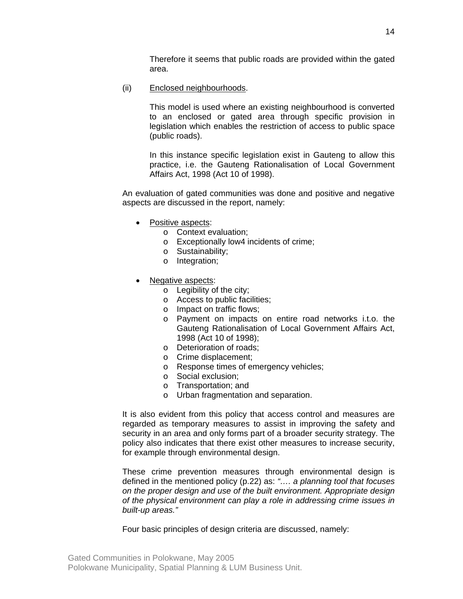Therefore it seems that public roads are provided within the gated area.

(ii) Enclosed neighbourhoods.

This model is used where an existing neighbourhood is converted to an enclosed or gated area through specific provision in legislation which enables the restriction of access to public space (public roads).

In this instance specific legislation exist in Gauteng to allow this practice, i.e. the Gauteng Rationalisation of Local Government Affairs Act, 1998 (Act 10 of 1998).

An evaluation of gated communities was done and positive and negative aspects are discussed in the report, namely:

- Positive aspects:
	- o Context evaluation;
	- o Exceptionally low4 incidents of crime;
	- o Sustainability;
	- o Integration;
- Negative aspects:
	- o Legibility of the city;
	- o Access to public facilities;
	- o Impact on traffic flows;
	- o Payment on impacts on entire road networks i.t.o. the Gauteng Rationalisation of Local Government Affairs Act, 1998 (Act 10 of 1998);
	- o Deterioration of roads;
	- o Crime displacement;
	- o Response times of emergency vehicles;
	- o Social exclusion;
	- o Transportation; and
	- o Urban fragmentation and separation.

It is also evident from this policy that access control and measures are regarded as temporary measures to assist in improving the safety and security in an area and only forms part of a broader security strategy. The policy also indicates that there exist other measures to increase security, for example through environmental design.

These crime prevention measures through environmental design is defined in the mentioned policy (p.22) as: *"…. a planning tool that focuses on the proper design and use of the built environment. Appropriate design of the physical environment can play a role in addressing crime issues in built-up areas."* 

Four basic principles of design criteria are discussed, namely: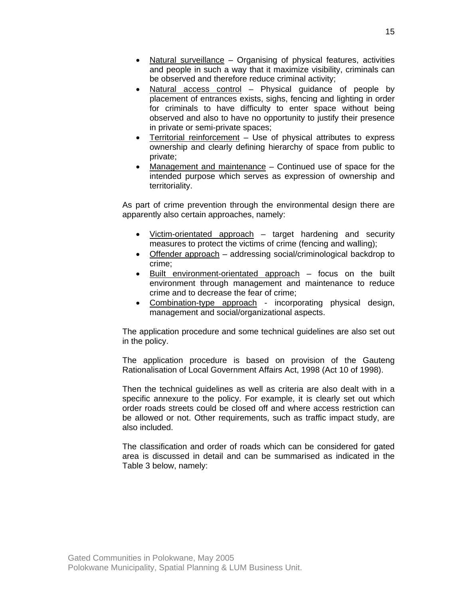- Natural surveillance Organising of physical features, activities and people in such a way that it maximize visibility, criminals can be observed and therefore reduce criminal activity;
- Natural access control Physical guidance of people by placement of entrances exists, sighs, fencing and lighting in order for criminals to have difficulty to enter space without being observed and also to have no opportunity to justify their presence in private or semi-private spaces;
- Territorial reinforcement Use of physical attributes to express ownership and clearly defining hierarchy of space from public to private;
- Management and maintenance Continued use of space for the intended purpose which serves as expression of ownership and territoriality.

As part of crime prevention through the environmental design there are apparently also certain approaches, namely:

- Victim-orientated approach target hardening and security measures to protect the victims of crime (fencing and walling);
- Offender approach addressing social/criminological backdrop to crime;
- Built environment-orientated approach focus on the built environment through management and maintenance to reduce crime and to decrease the fear of crime;
- Combination-type approach incorporating physical design, management and social/organizational aspects.

The application procedure and some technical guidelines are also set out in the policy.

The application procedure is based on provision of the Gauteng Rationalisation of Local Government Affairs Act, 1998 (Act 10 of 1998).

Then the technical guidelines as well as criteria are also dealt with in a specific annexure to the policy. For example, it is clearly set out which order roads streets could be closed off and where access restriction can be allowed or not. Other requirements, such as traffic impact study, are also included.

The classification and order of roads which can be considered for gated area is discussed in detail and can be summarised as indicated in the Table 3 below, namely: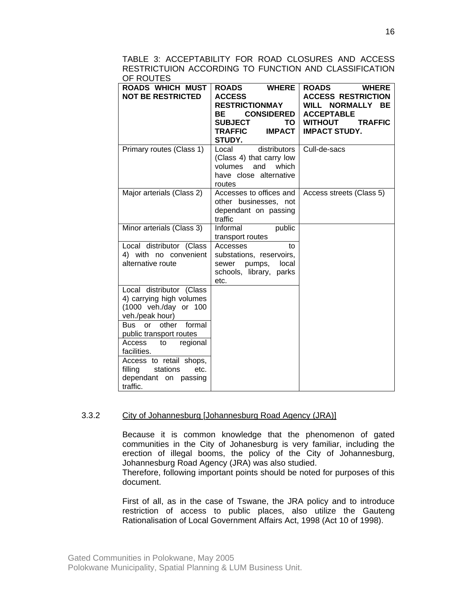| TABLE 3: ACCEPTABILITY FOR ROAD CLOSURES AND ACCESS     |  |  |  |  |  |  |
|---------------------------------------------------------|--|--|--|--|--|--|
| RESTRICTUION ACCORDING TO FUNCTION AND CLASSIFICATION I |  |  |  |  |  |  |
| OF ROUTES I                                             |  |  |  |  |  |  |

| <b>ROADS WHICH MUST</b><br><b>NOT BE RESTRICTED</b>                                              | <b>WHERE</b><br><b>ROADS</b><br><b>ACCESS</b><br><b>RESTRICTIONMAY</b><br><b>CONSIDERED</b><br>ВE<br><b>SUBJECT</b><br>TO.<br><b>IMPACT</b><br>TRAFFIC<br>STUDY. | <b>ROADS</b><br><b>WHERE</b><br><b>ACCESS RESTRICTION</b><br>WILL NORMALLY BE<br><b>ACCEPTABLE</b><br><b>TRAFFIC</b><br><b>WITHOUT</b><br><b>IMPACT STUDY.</b> |
|--------------------------------------------------------------------------------------------------|------------------------------------------------------------------------------------------------------------------------------------------------------------------|----------------------------------------------------------------------------------------------------------------------------------------------------------------|
| Primary routes (Class 1)                                                                         | distributors<br>Local<br>(Class 4) that carry low<br>volumes<br>and<br>which<br>have close alternative<br>routes                                                 | Cull-de-sacs                                                                                                                                                   |
| Major arterials (Class 2)                                                                        | Accesses to offices and<br>other businesses, not<br>dependant on passing<br>traffic                                                                              | Access streets (Class 5)                                                                                                                                       |
| Minor arterials (Class 3)                                                                        | Informal<br>public<br>transport routes                                                                                                                           |                                                                                                                                                                |
| Local distributor (Class<br>4) with no convenient<br>alternative route                           | Accesses<br>to<br>substations, reservoirs,<br>local<br>pumps,<br>sewer<br>schools, library,<br>parks<br>etc.                                                     |                                                                                                                                                                |
| Local distributor (Class<br>4) carrying high volumes<br>(1000 veh./day or 100<br>veh./peak hour) |                                                                                                                                                                  |                                                                                                                                                                |
| or other formal<br>Bus<br>public transport routes                                                |                                                                                                                                                                  |                                                                                                                                                                |
| regional<br>Access<br>to<br>facilities.                                                          |                                                                                                                                                                  |                                                                                                                                                                |
| Access to retail shops,<br>filling<br>stations<br>etc.<br>dependant on passing<br>traffic.       |                                                                                                                                                                  |                                                                                                                                                                |

### 3.3.2 City of Johannesburg [Johannesburg Road Agency (JRA)]

Because it is common knowledge that the phenomenon of gated communities in the City of Johanesburg is very familiar, including the erection of illegal booms, the policy of the City of Johannesburg, Johannesburg Road Agency (JRA) was also studied.

Therefore, following important points should be noted for purposes of this document.

First of all, as in the case of Tswane, the JRA policy and to introduce restriction of access to public places, also utilize the Gauteng Rationalisation of Local Government Affairs Act, 1998 (Act 10 of 1998).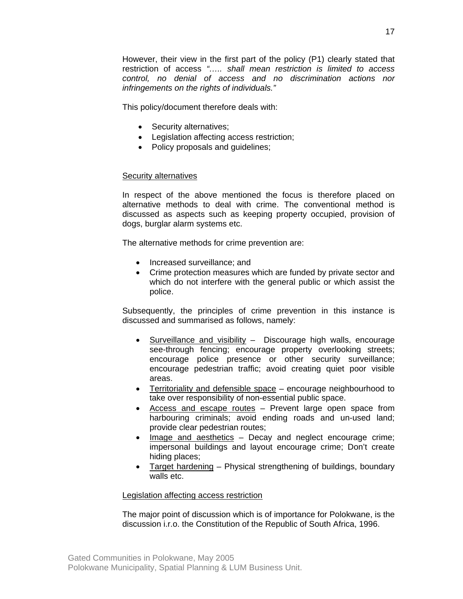However, their view in the first part of the policy (P1) clearly stated that restriction of access *"….. shall mean restriction is limited to access control, no denial of access and no discrimination actions nor infringements on the rights of individuals."*

This policy/document therefore deals with:

- Security alternatives;
- Legislation affecting access restriction;
- Policy proposals and guidelines;

## Security alternatives

In respect of the above mentioned the focus is therefore placed on alternative methods to deal with crime. The conventional method is discussed as aspects such as keeping property occupied, provision of dogs, burglar alarm systems etc.

The alternative methods for crime prevention are:

- Increased surveillance: and
- Crime protection measures which are funded by private sector and which do not interfere with the general public or which assist the police.

Subsequently, the principles of crime prevention in this instance is discussed and summarised as follows, namely:

- Surveillance and visibility Discourage high walls, encourage see-through fencing; encourage property overlooking streets; encourage police presence or other security surveillance; encourage pedestrian traffic; avoid creating quiet poor visible areas.
- Territoriality and defensible space encourage neighbourhood to take over responsibility of non-essential public space.
- Access and escape routes Prevent large open space from harbouring criminals; avoid ending roads and un-used land; provide clear pedestrian routes;
- Image and aesthetics Decay and neglect encourage crime; impersonal buildings and layout encourage crime; Don't create hiding places;
- Target hardening Physical strengthening of buildings, boundary walls etc.

#### Legislation affecting access restriction

The major point of discussion which is of importance for Polokwane, is the discussion i.r.o. the Constitution of the Republic of South Africa, 1996.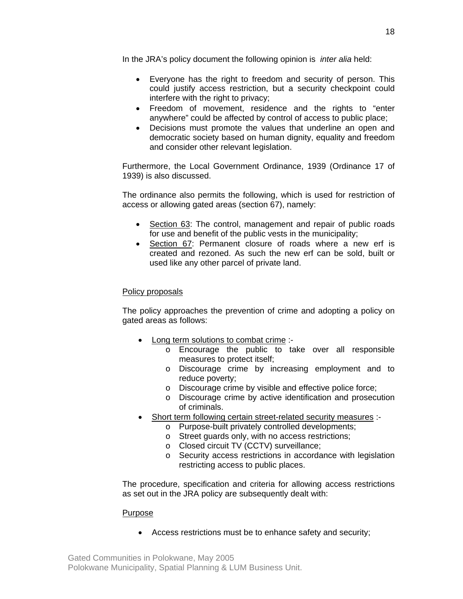In the JRA's policy document the following opinion is *inter alia* held:

- Everyone has the right to freedom and security of person. This could justify access restriction, but a security checkpoint could interfere with the right to privacy;
- Freedom of movement, residence and the rights to "enter anywhere" could be affected by control of access to public place;
- Decisions must promote the values that underline an open and democratic society based on human dignity, equality and freedom and consider other relevant legislation.

Furthermore, the Local Government Ordinance, 1939 (Ordinance 17 of 1939) is also discussed.

The ordinance also permits the following, which is used for restriction of access or allowing gated areas (section 67), namely:

- Section 63: The control, management and repair of public roads for use and benefit of the public vests in the municipality;
- Section 67: Permanent closure of roads where a new erf is created and rezoned. As such the new erf can be sold, built or used like any other parcel of private land.

## Policy proposals

The policy approaches the prevention of crime and adopting a policy on gated areas as follows:

- Long term solutions to combat crime :
	- o Encourage the public to take over all responsible measures to protect itself;
	- o Discourage crime by increasing employment and to reduce poverty;
	- o Discourage crime by visible and effective police force;
	- o Discourage crime by active identification and prosecution of criminals.
- Short term following certain street-related security measures :
	- o Purpose-built privately controlled developments;
	- o Street guards only, with no access restrictions;
	- o Closed circuit TV (CCTV) surveillance;
	- o Security access restrictions in accordance with legislation restricting access to public places.

The procedure, specification and criteria for allowing access restrictions as set out in the JRA policy are subsequently dealt with:

#### Purpose

• Access restrictions must be to enhance safety and security;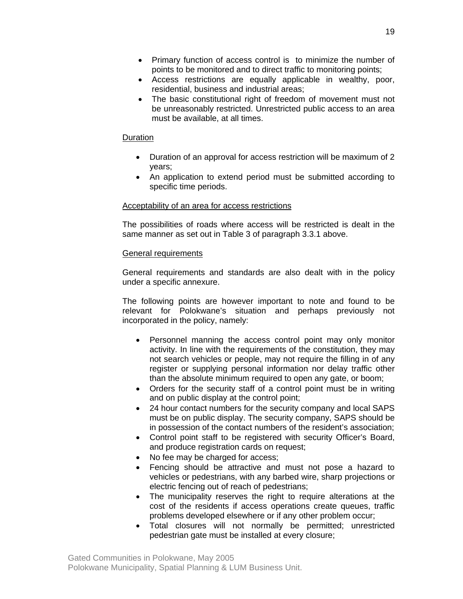- Primary function of access control is to minimize the number of points to be monitored and to direct traffic to monitoring points;
- Access restrictions are equally applicable in wealthy, poor, residential, business and industrial areas;
- The basic constitutional right of freedom of movement must not be unreasonably restricted. Unrestricted public access to an area must be available, at all times.

#### **Duration**

- Duration of an approval for access restriction will be maximum of 2 years;
- An application to extend period must be submitted according to specific time periods.

## Acceptability of an area for access restrictions

The possibilities of roads where access will be restricted is dealt in the same manner as set out in Table 3 of paragraph 3.3.1 above.

### General requirements

General requirements and standards are also dealt with in the policy under a specific annexure.

The following points are however important to note and found to be relevant for Polokwane's situation and perhaps previously not incorporated in the policy, namely:

- Personnel manning the access control point may only monitor activity. In line with the requirements of the constitution, they may not search vehicles or people, may not require the filling in of any register or supplying personal information nor delay traffic other than the absolute minimum required to open any gate, or boom;
- Orders for the security staff of a control point must be in writing and on public display at the control point;
- 24 hour contact numbers for the security company and local SAPS must be on public display. The security company, SAPS should be in possession of the contact numbers of the resident's association;
- Control point staff to be registered with security Officer's Board, and produce registration cards on request;
- No fee may be charged for access;
- Fencing should be attractive and must not pose a hazard to vehicles or pedestrians, with any barbed wire, sharp projections or electric fencing out of reach of pedestrians;
- The municipality reserves the right to require alterations at the cost of the residents if access operations create queues, traffic problems developed elsewhere or if any other problem occur;
- Total closures will not normally be permitted; unrestricted pedestrian gate must be installed at every closure;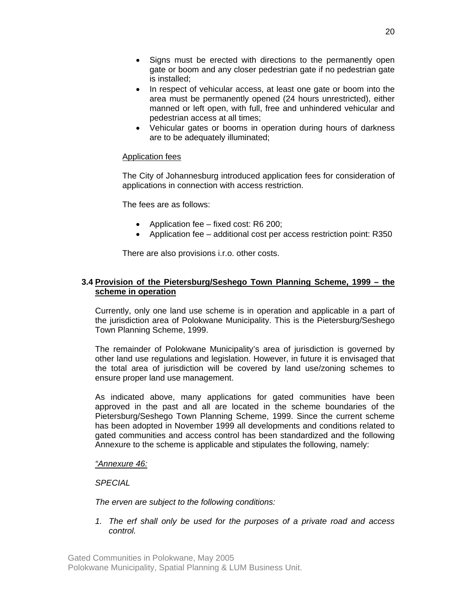- Signs must be erected with directions to the permanently open gate or boom and any closer pedestrian gate if no pedestrian gate is installed;
- In respect of vehicular access, at least one gate or boom into the area must be permanently opened (24 hours unrestricted), either manned or left open, with full, free and unhindered vehicular and pedestrian access at all times;
- Vehicular gates or booms in operation during hours of darkness are to be adequately illuminated;

## Application fees

The City of Johannesburg introduced application fees for consideration of applications in connection with access restriction.

The fees are as follows:

- Application fee fixed cost: R6 200;
- Application fee additional cost per access restriction point: R350

There are also provisions i.r.o. other costs.

## **3.4 Provision of the Pietersburg/Seshego Town Planning Scheme, 1999 – the scheme in operation**

Currently, only one land use scheme is in operation and applicable in a part of the jurisdiction area of Polokwane Municipality. This is the Pietersburg/Seshego Town Planning Scheme, 1999.

The remainder of Polokwane Municipality's area of jurisdiction is governed by other land use regulations and legislation. However, in future it is envisaged that the total area of jurisdiction will be covered by land use/zoning schemes to ensure proper land use management.

As indicated above, many applications for gated communities have been approved in the past and all are located in the scheme boundaries of the Pietersburg/Seshego Town Planning Scheme, 1999. Since the current scheme has been adopted in November 1999 all developments and conditions related to gated communities and access control has been standardized and the following Annexure to the scheme is applicable and stipulates the following, namely:

#### *"Annexure 46:*

*SPECIAL* 

*The erven are subject to the following conditions:* 

*1. The erf shall only be used for the purposes of a private road and access control.*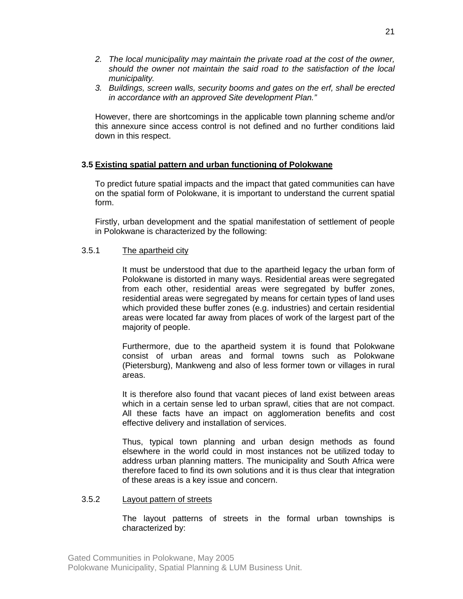- *2. The local municipality may maintain the private road at the cost of the owner, should the owner not maintain the said road to the satisfaction of the local municipality.*
- *3. Buildings, screen walls, security booms and gates on the erf, shall be erected in accordance with an approved Site development Plan."*

However, there are shortcomings in the applicable town planning scheme and/or this annexure since access control is not defined and no further conditions laid down in this respect.

### **3.5 Existing spatial pattern and urban functioning of Polokwane**

To predict future spatial impacts and the impact that gated communities can have on the spatial form of Polokwane, it is important to understand the current spatial form.

Firstly, urban development and the spatial manifestation of settlement of people in Polokwane is characterized by the following:

#### 3.5.1 The apartheid city

It must be understood that due to the apartheid legacy the urban form of Polokwane is distorted in many ways. Residential areas were segregated from each other, residential areas were segregated by buffer zones, residential areas were segregated by means for certain types of land uses which provided these buffer zones (e.g. industries) and certain residential areas were located far away from places of work of the largest part of the majority of people.

Furthermore, due to the apartheid system it is found that Polokwane consist of urban areas and formal towns such as Polokwane (Pietersburg), Mankweng and also of less former town or villages in rural areas.

It is therefore also found that vacant pieces of land exist between areas which in a certain sense led to urban sprawl, cities that are not compact. All these facts have an impact on agglomeration benefits and cost effective delivery and installation of services.

Thus, typical town planning and urban design methods as found elsewhere in the world could in most instances not be utilized today to address urban planning matters. The municipality and South Africa were therefore faced to find its own solutions and it is thus clear that integration of these areas is a key issue and concern.

#### 3.5.2 Layout pattern of streets

The layout patterns of streets in the formal urban townships is characterized by: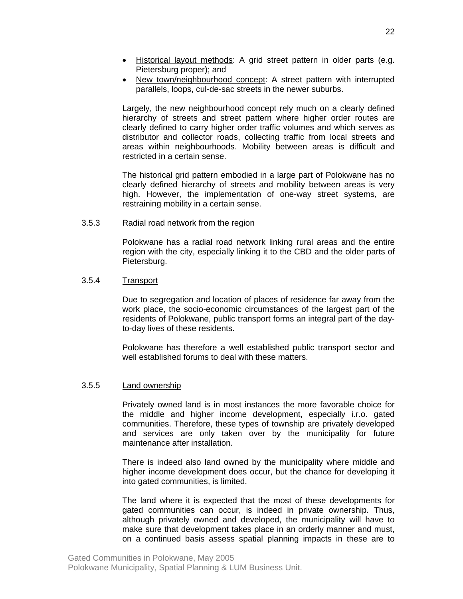- Historical layout methods: A grid street pattern in older parts (e.g. Pietersburg proper); and
- New town/neighbourhood concept: A street pattern with interrupted parallels, loops, cul-de-sac streets in the newer suburbs.

Largely, the new neighbourhood concept rely much on a clearly defined hierarchy of streets and street pattern where higher order routes are clearly defined to carry higher order traffic volumes and which serves as distributor and collector roads, collecting traffic from local streets and areas within neighbourhoods. Mobility between areas is difficult and restricted in a certain sense.

The historical grid pattern embodied in a large part of Polokwane has no clearly defined hierarchy of streets and mobility between areas is very high. However, the implementation of one-way street systems, are restraining mobility in a certain sense.

#### 3.5.3 Radial road network from the region

Polokwane has a radial road network linking rural areas and the entire region with the city, especially linking it to the CBD and the older parts of Pietersburg.

#### 3.5.4 Transport

Due to segregation and location of places of residence far away from the work place, the socio-economic circumstances of the largest part of the residents of Polokwane, public transport forms an integral part of the dayto-day lives of these residents.

Polokwane has therefore a well established public transport sector and well established forums to deal with these matters.

#### 3.5.5 Land ownership

Privately owned land is in most instances the more favorable choice for the middle and higher income development, especially i.r.o. gated communities. Therefore, these types of township are privately developed and services are only taken over by the municipality for future maintenance after installation.

There is indeed also land owned by the municipality where middle and higher income development does occur, but the chance for developing it into gated communities, is limited.

The land where it is expected that the most of these developments for gated communities can occur, is indeed in private ownership. Thus, although privately owned and developed, the municipality will have to make sure that development takes place in an orderly manner and must, on a continued basis assess spatial planning impacts in these are to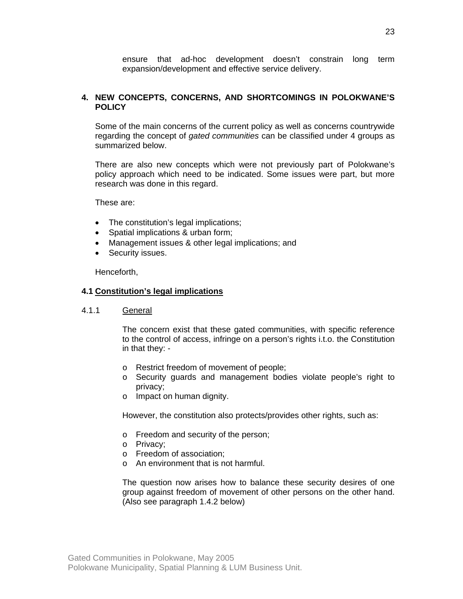ensure that ad-hoc development doesn't constrain long term expansion/development and effective service delivery.

#### **4. NEW CONCEPTS, CONCERNS, AND SHORTCOMINGS IN POLOKWANE'S POLICY**

Some of the main concerns of the current policy as well as concerns countrywide regarding the concept of *gated communities* can be classified under 4 groups as summarized below.

There are also new concepts which were not previously part of Polokwane's policy approach which need to be indicated. Some issues were part, but more research was done in this regard.

These are:

- The constitution's legal implications;
- Spatial implications & urban form;
- Management issues & other legal implications; and
- Security issues.

Henceforth,

#### **4.1 Constitution's legal implications**

4.1.1 General

The concern exist that these gated communities, with specific reference to the control of access, infringe on a person's rights i.t.o. the Constitution in that they: -

- o Restrict freedom of movement of people;
- o Security guards and management bodies violate people's right to privacy;
- o Impact on human dignity.

However, the constitution also protects/provides other rights, such as:

- o Freedom and security of the person;
- o Privacy;
- o Freedom of association;
- o An environment that is not harmful.

The question now arises how to balance these security desires of one group against freedom of movement of other persons on the other hand. (Also see paragraph 1.4.2 below)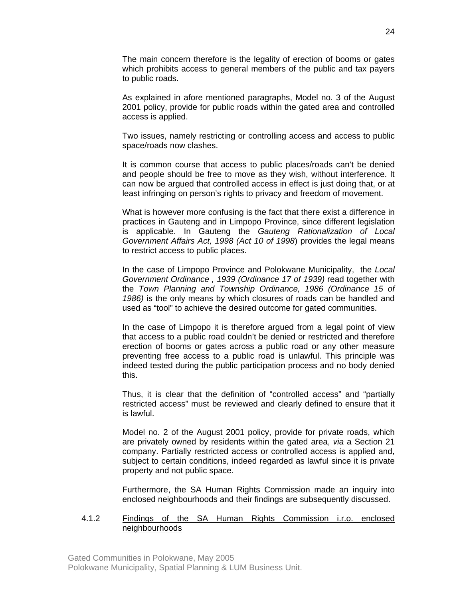The main concern therefore is the legality of erection of booms or gates which prohibits access to general members of the public and tax payers to public roads.

As explained in afore mentioned paragraphs, Model no. 3 of the August 2001 policy, provide for public roads within the gated area and controlled access is applied.

Two issues, namely restricting or controlling access and access to public space/roads now clashes.

It is common course that access to public places/roads can't be denied and people should be free to move as they wish, without interference. It can now be argued that controlled access in effect is just doing that, or at least infringing on person's rights to privacy and freedom of movement.

What is however more confusing is the fact that there exist a difference in practices in Gauteng and in Limpopo Province, since different legislation is applicable. In Gauteng the *Gauteng Rationalization of Local Government Affairs Act, 1998 (Act 10 of 1998*) provides the legal means to restrict access to public places.

In the case of Limpopo Province and Polokwane Municipality, the *Local Government Ordinance , 1939 (Ordinance 17 of 1939)* read together with the *Town Planning and Township Ordinance, 1986 (Ordinance 15 of 1986)* is the only means by which closures of roads can be handled and used as "tool" to achieve the desired outcome for gated communities.

In the case of Limpopo it is therefore argued from a legal point of view that access to a public road couldn't be denied or restricted and therefore erection of booms or gates across a public road or any other measure preventing free access to a public road is unlawful. This principle was indeed tested during the public participation process and no body denied this.

Thus, it is clear that the definition of "controlled access" and "partially restricted access" must be reviewed and clearly defined to ensure that it is lawful.

Model no. 2 of the August 2001 policy, provide for private roads, which are privately owned by residents within the gated area, *via* a Section 21 company. Partially restricted access or controlled access is applied and, subject to certain conditions, indeed regarded as lawful since it is private property and not public space.

Furthermore, the SA Human Rights Commission made an inquiry into enclosed neighbourhoods and their findings are subsequently discussed.

#### 4.1.2 Findings of the SA Human Rights Commission i.r.o. enclosed neighbourhoods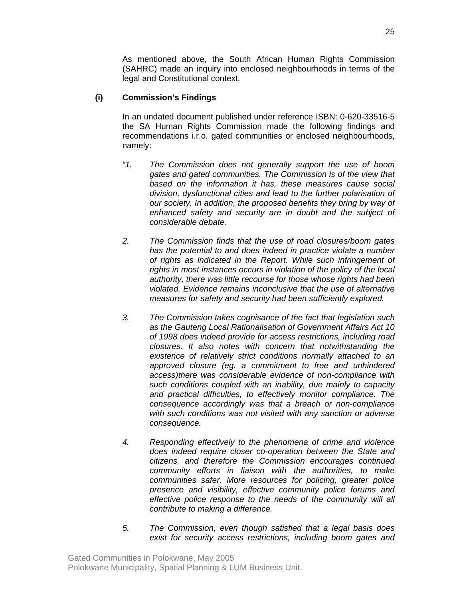As mentioned above, the South African Human Rights Commission (SAHRC) made an inquiry into enclosed neighbourhoods in terms of the legal and Constitutional context.

## **(i) Commission's Findings**

In an undated document published under reference ISBN: 0-620-33516-5 the SA Human Rights Commission made the following findings and recommendations i.r.o. gated communities or enclosed neighbourhoods, namely:

- *"1. The Commission does not generally support the use of boom gates and gated communities. The Commission is of the view that based on the information it has, these measures cause social division, dysfunctional cities and lead to the further polarisation of our society. In addition, the proposed benefits they bring by way of enhanced safety and security are in doubt and the subject of considerable debate.*
- *2. The Commission finds that the use of road closures/boom gates has the potential to and does indeed in practice violate a number of rights as indicated in the Report. While such infringement of rights in most instances occurs in violation of the policy of the local authority, there was little recourse for those whose rights had been violated. Evidence remains inconclusive that the use of alternative measures for safety and security had been sufficiently explored.*
- *3. The Commission takes cognisance of the fact that legislation such as the Gauteng Local Rationailsation of Government Affairs Act 10 of 1998 does indeed provide for access restrictions, including road closures. It also notes with concern that notwithstanding the existence of relatively strict conditions normally attached to an approved closure (eg. a commitment to free and unhindered access)there was considerable evidence of non-compliance with such conditions coupled with an inability, due mainly to capacity and practical difficulties, to effectively monitor compliance. The consequence accordingly was that a breach or non-compliance with such conditions was not visited with any sanction or adverse consequence.*
- *4. Responding effectively to the phenomena of crime and violence does indeed require closer co-operation between the State and citizens, and therefore the Commission encourages continued community efforts in liaison with the authorities, to make communities safer. More resources for policing, greater police presence and visibility, effective community police forums and effective police response to the needs of the community will all contribute to making a difference.*
- *5. The Commission, even though satisfied that a legal basis does exist for security access restrictions, including boom gates and*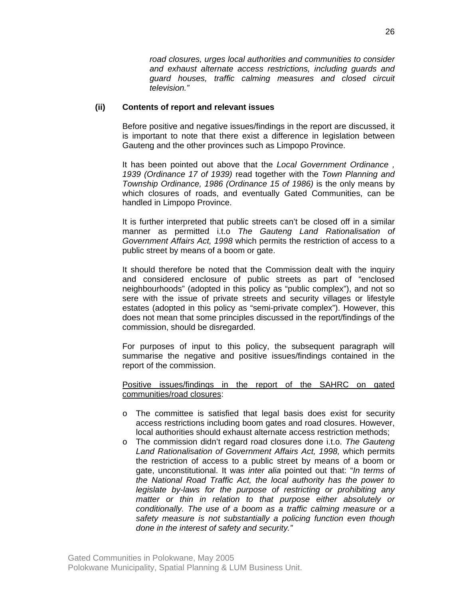*road closures, urges local authorities and communities to consider and exhaust alternate access restrictions, including guards and guard houses, traffic calming measures and closed circuit television."* 

#### **(ii) Contents of report and relevant issues**

Before positive and negative issues/findings in the report are discussed, it is important to note that there exist a difference in legislation between Gauteng and the other provinces such as Limpopo Province.

It has been pointed out above that the *Local Government Ordinance , 1939 (Ordinance 17 of 1939)* read together with the *Town Planning and Township Ordinance, 1986 (Ordinance 15 of 1986)* is the only means by which closures of roads, and eventually Gated Communities, can be handled in Limpopo Province.

It is further interpreted that public streets can't be closed off in a similar manner as permitted i.t.o *The Gauteng Land Rationalisation of Government Affairs Act, 1998* which permits the restriction of access to a public street by means of a boom or gate.

It should therefore be noted that the Commission dealt with the inquiry and considered enclosure of public streets as part of "enclosed neighbourhoods" (adopted in this policy as "public complex"), and not so sere with the issue of private streets and security villages or lifestyle estates (adopted in this policy as "semi-private complex"). However, this does not mean that some principles discussed in the report/findings of the commission, should be disregarded.

For purposes of input to this policy, the subsequent paragraph will summarise the negative and positive issues/findings contained in the report of the commission.

Positive issues/findings in the report of the SAHRC on gated communities/road closures:

- o The committee is satisfied that legal basis does exist for security access restrictions including boom gates and road closures. However, local authorities should exhaust alternate access restriction methods;
- o The commission didn't regard road closures done i.t.o. *The Gauteng Land Rationalisation of Government Affairs Act, 1998,* which permits the restriction of access to a public street by means of a boom or gate, unconstitutional. It was *inter alia* pointed out that: "*In terms of the National Road Traffic Act, the local authority has the power to legislate by-laws for the purpose of restricting or prohibiting any matter or thin in relation to that purpose either absolutely or conditionally. The use of a boom as a traffic calming measure or a safety measure is not substantially a policing function even though done in the interest of safety and security."*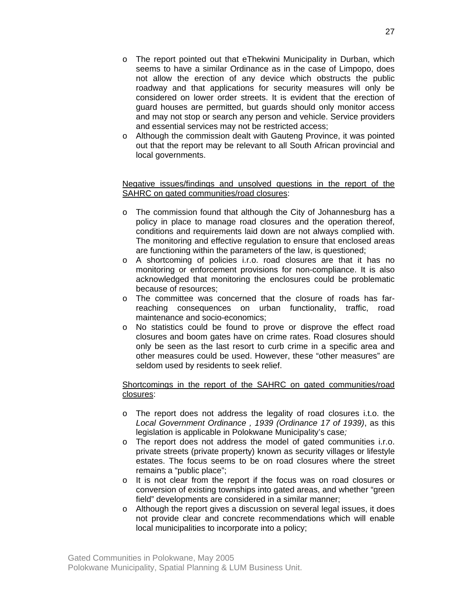- $\circ$  The report pointed out that eThekwini Municipality in Durban, which seems to have a similar Ordinance as in the case of Limpopo, does not allow the erection of any device which obstructs the public roadway and that applications for security measures will only be considered on lower order streets. It is evident that the erection of guard houses are permitted, but guards should only monitor access and may not stop or search any person and vehicle. Service providers and essential services may not be restricted access;
- o Although the commission dealt with Gauteng Province, it was pointed out that the report may be relevant to all South African provincial and local governments.

### Negative issues/findings and unsolved questions in the report of the SAHRC on gated communities/road closures:

- o The commission found that although the City of Johannesburg has a policy in place to manage road closures and the operation thereof, conditions and requirements laid down are not always complied with. The monitoring and effective regulation to ensure that enclosed areas are functioning within the parameters of the law, is questioned;
- o A shortcoming of policies i.r.o. road closures are that it has no monitoring or enforcement provisions for non-compliance. It is also acknowledged that monitoring the enclosures could be problematic because of resources;
- o The committee was concerned that the closure of roads has farreaching consequences on urban functionality, traffic, road maintenance and socio-economics;
- o No statistics could be found to prove or disprove the effect road closures and boom gates have on crime rates. Road closures should only be seen as the last resort to curb crime in a specific area and other measures could be used. However, these "other measures" are seldom used by residents to seek relief.

## Shortcomings in the report of the SAHRC on gated communities/road closures:

- o The report does not address the legality of road closures i.t.o. the *Local Government Ordinance , 1939 (Ordinance 17 of 1939)*, as this legislation is applicable in Polokwane Municipality's case*;*
- o The report does not address the model of gated communities i.r.o. private streets (private property) known as security villages or lifestyle estates. The focus seems to be on road closures where the street remains a "public place";
- o It is not clear from the report if the focus was on road closures or conversion of existing townships into gated areas, and whether "green field" developments are considered in a similar manner;
- o Although the report gives a discussion on several legal issues, it does not provide clear and concrete recommendations which will enable local municipalities to incorporate into a policy;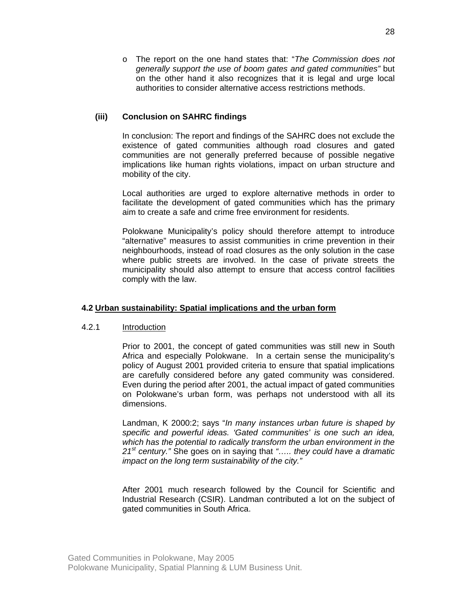o The report on the one hand states that: "*The Commission does not generally support the use of boom gates and gated communities"* but on the other hand it also recognizes that it is legal and urge local authorities to consider alternative access restrictions methods.

### **(iii) Conclusion on SAHRC findings**

In conclusion: The report and findings of the SAHRC does not exclude the existence of gated communities although road closures and gated communities are not generally preferred because of possible negative implications like human rights violations, impact on urban structure and mobility of the city.

Local authorities are urged to explore alternative methods in order to facilitate the development of gated communities which has the primary aim to create a safe and crime free environment for residents.

Polokwane Municipality's policy should therefore attempt to introduce "alternative" measures to assist communities in crime prevention in their neighbourhoods, instead of road closures as the only solution in the case where public streets are involved. In the case of private streets the municipality should also attempt to ensure that access control facilities comply with the law.

#### **4.2 Urban sustainability: Spatial implications and the urban form**

#### 4.2.1 Introduction

Prior to 2001, the concept of gated communities was still new in South Africa and especially Polokwane. In a certain sense the municipality's policy of August 2001 provided criteria to ensure that spatial implications are carefully considered before any gated community was considered. Even during the period after 2001, the actual impact of gated communities on Polokwane's urban form, was perhaps not understood with all its dimensions.

Landman, K 2000:2; says "*In many instances urban future is shaped by specific and powerful ideas. 'Gated communities' is one such an idea, which has the potential to radically transform the urban environment in the 21st century."* She goes on in saying that *"….. they could have a dramatic impact on the long term sustainability of the city."* 

After 2001 much research followed by the Council for Scientific and Industrial Research (CSIR). Landman contributed a lot on the subject of gated communities in South Africa.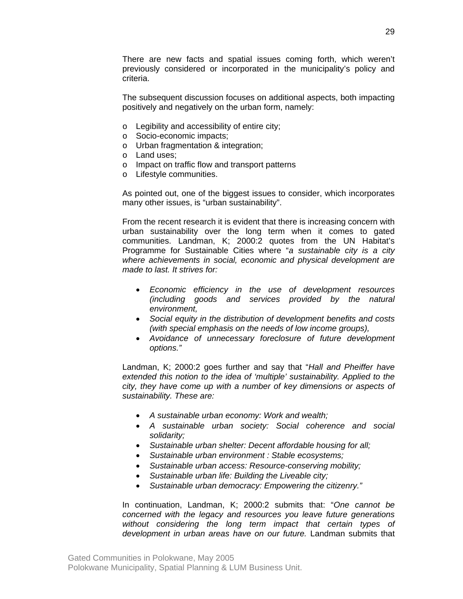There are new facts and spatial issues coming forth, which weren't previously considered or incorporated in the municipality's policy and criteria.

The subsequent discussion focuses on additional aspects, both impacting positively and negatively on the urban form, namely:

- o Legibility and accessibility of entire city;
- o Socio-economic impacts;
- o Urban fragmentation & integration;
- o Land uses;
- o Impact on traffic flow and transport patterns
- o Lifestyle communities.

As pointed out, one of the biggest issues to consider, which incorporates many other issues, is "urban sustainability".

From the recent research it is evident that there is increasing concern with urban sustainability over the long term when it comes to gated communities. Landman, K; 2000:2 quotes from the UN Habitat's Programme for Sustainable Cities where "*a sustainable city is a city where achievements in social, economic and physical development are made to last. It strives for:* 

- *Economic efficiency in the use of development resources (including goods and services provided by the natural environment,*
- *Social equity in the distribution of development benefits and costs (with special emphasis on the needs of low income groups),*
- *Avoidance of unnecessary foreclosure of future development options."*

Landman, K; 2000:2 goes further and say that "*Hall and Pheiffer have extended this notion to the idea of 'multiple' sustainability. Applied to the city, they have come up with a number of key dimensions or aspects of sustainability. These are:* 

- *A sustainable urban economy: Work and wealth;*
- *A sustainable urban society: Social coherence and social solidarity;*
- *Sustainable urban shelter: Decent affordable housing for all;*
- *Sustainable urban environment : Stable ecosystems;*
- *Sustainable urban access: Resource-conserving mobility;*
- *Sustainable urban life: Building the Liveable city;*
- *Sustainable urban democracy: Empowering the citizenry."*

In continuation, Landman, K; 2000:2 submits that: "*One cannot be concerned with the legacy and resources you leave future generations without considering the long term impact that certain types of development in urban areas have on our future.* Landman submits that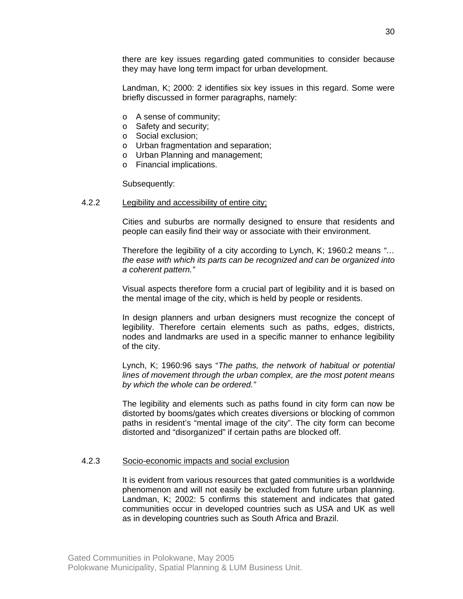there are key issues regarding gated communities to consider because they may have long term impact for urban development.

Landman, K; 2000: 2 identifies six key issues in this regard. Some were briefly discussed in former paragraphs, namely:

- o A sense of community;
- o Safety and security;
- o Social exclusion;
- o Urban fragmentation and separation;
- o Urban Planning and management;
- o Financial implications.

Subsequently:

#### 4.2.2 Legibility and accessibility of entire city;

Cities and suburbs are normally designed to ensure that residents and people can easily find their way or associate with their environment.

Therefore the legibility of a city according to Lynch, K; 1960:2 means *"… the ease with which its parts can be recognized and can be organized into a coherent pattern."*

Visual aspects therefore form a crucial part of legibility and it is based on the mental image of the city, which is held by people or residents.

In design planners and urban designers must recognize the concept of legibility. Therefore certain elements such as paths, edges, districts, nodes and landmarks are used in a specific manner to enhance legibility of the city.

Lynch, K; 1960:96 says "*The paths, the network of habitual or potential lines of movement through the urban complex, are the most potent means by which the whole can be ordered."* 

The legibility and elements such as paths found in city form can now be distorted by booms/gates which creates diversions or blocking of common paths in resident's "mental image of the city". The city form can become distorted and "disorganized" if certain paths are blocked off.

#### 4.2.3 Socio-economic impacts and social exclusion

It is evident from various resources that gated communities is a worldwide phenomenon and will not easily be excluded from future urban planning. Landman, K; 2002: 5 confirms this statement and indicates that gated communities occur in developed countries such as USA and UK as well as in developing countries such as South Africa and Brazil.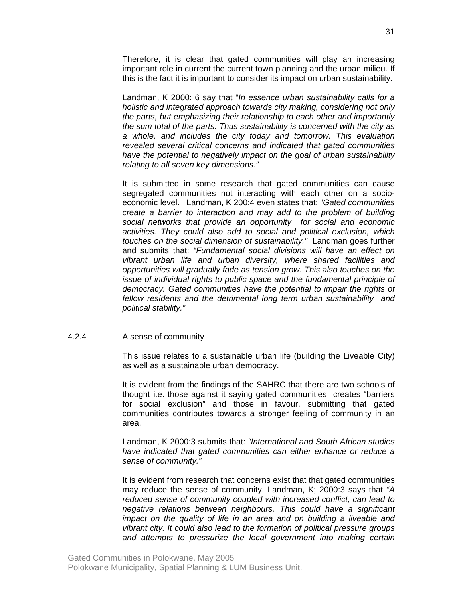Therefore, it is clear that gated communities will play an increasing important role in current the current town planning and the urban milieu. If this is the fact it is important to consider its impact on urban sustainability.

Landman, K 2000: 6 say that "*In essence urban sustainability calls for a holistic and integrated approach towards city making, considering not only the parts, but emphasizing their relationship to each other and importantly the sum total of the parts. Thus sustainability is concerned with the city as a whole, and includes the city today and tomorrow. This evaluation revealed several critical concerns and indicated that gated communities have the potential to negatively impact on the goal of urban sustainability relating to all seven key dimensions."* 

It is submitted in some research that gated communities can cause segregated communities not interacting with each other on a socioeconomic level. Landman, K 200:4 even states that: "*Gated communities create a barrier to interaction and may add to the problem of building social networks that provide an opportunity for social and economic activities. They could also add to social and political exclusion, which touches on the social dimension of sustainability."* Landman goes further and submits that: *"Fundamental social divisions will have an effect on vibrant urban life and urban diversity, where shared facilities and opportunities will gradually fade as tension grow. This also touches on the issue of individual rights to public space and the fundamental principle of democracy. Gated communities have the potential to impair the rights of fellow residents and the detrimental long term urban sustainability and political stability."* 

## 4.2.4 A sense of community

This issue relates to a sustainable urban life (building the Liveable City) as well as a sustainable urban democracy.

It is evident from the findings of the SAHRC that there are two schools of thought i.e. those against it saying gated communities creates "barriers for social exclusion" and those in favour, submitting that gated communities contributes towards a stronger feeling of community in an area.

Landman, K 2000:3 submits that: *"International and South African studies have indicated that gated communities can either enhance or reduce a sense of community."*

It is evident from research that concerns exist that that gated communities may reduce the sense of community. Landman, K; 2000:3 says that *"A reduced sense of community coupled with increased conflict, can lead to negative relations between neighbours. This could have a significant impact on the quality of life in an area and on building a liveable and vibrant city. It could also lead to the formation of political pressure groups and attempts to pressurize the local government into making certain*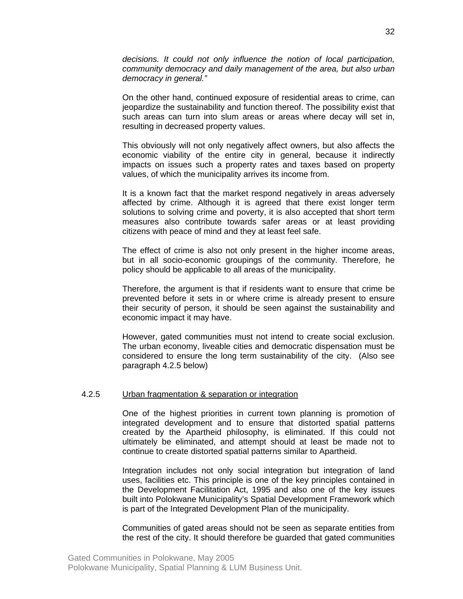*decisions. It could not only influence the notion of local participation, community democracy and daily management of the area, but also urban democracy in general."*

On the other hand, continued exposure of residential areas to crime, can jeopardize the sustainability and function thereof. The possibility exist that such areas can turn into slum areas or areas where decay will set in, resulting in decreased property values.

This obviously will not only negatively affect owners, but also affects the economic viability of the entire city in general, because it indirectly impacts on issues such a property rates and taxes based on property values, of which the municipality arrives its income from.

It is a known fact that the market respond negatively in areas adversely affected by crime. Although it is agreed that there exist longer term solutions to solving crime and poverty, it is also accepted that short term measures also contribute towards safer areas or at least providing citizens with peace of mind and they at least feel safe.

The effect of crime is also not only present in the higher income areas, but in all socio-economic groupings of the community. Therefore, he policy should be applicable to all areas of the municipality.

Therefore, the argument is that if residents want to ensure that crime be prevented before it sets in or where crime is already present to ensure their security of person, it should be seen against the sustainability and economic impact it may have.

However, gated communities must not intend to create social exclusion. The urban economy, liveable cities and democratic dispensation must be considered to ensure the long term sustainability of the city. (Also see paragraph 4.2.5 below)

#### 4.2.5 Urban fragmentation & separation or integration

One of the highest priorities in current town planning is promotion of integrated development and to ensure that distorted spatial patterns created by the Apartheid philosophy, is eliminated. If this could not ultimately be eliminated, and attempt should at least be made not to continue to create distorted spatial patterns similar to Apartheid.

Integration includes not only social integration but integration of land uses, facilities etc. This principle is one of the key principles contained in the Development Facilitation Act, 1995 and also one of the key issues built into Polokwane Municipality's Spatial Development Framework which is part of the Integrated Development Plan of the municipality.

Communities of gated areas should not be seen as separate entities from the rest of the city. It should therefore be guarded that gated communities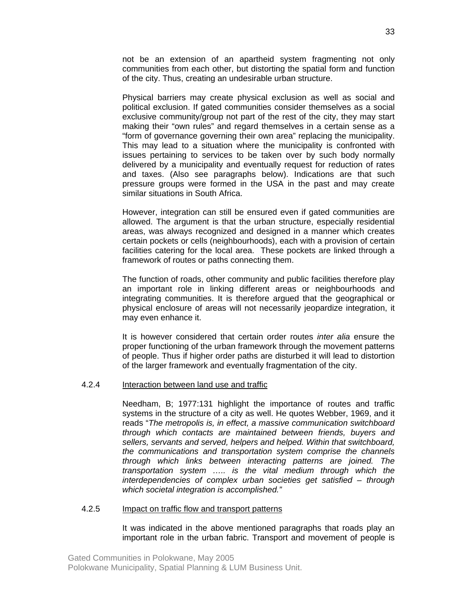not be an extension of an apartheid system fragmenting not only communities from each other, but distorting the spatial form and function of the city. Thus, creating an undesirable urban structure.

Physical barriers may create physical exclusion as well as social and political exclusion. If gated communities consider themselves as a social exclusive community/group not part of the rest of the city, they may start making their "own rules" and regard themselves in a certain sense as a "form of governance governing their own area" replacing the municipality. This may lead to a situation where the municipality is confronted with issues pertaining to services to be taken over by such body normally delivered by a municipality and eventually request for reduction of rates and taxes. (Also see paragraphs below). Indications are that such pressure groups were formed in the USA in the past and may create similar situations in South Africa.

However, integration can still be ensured even if gated communities are allowed. The argument is that the urban structure, especially residential areas, was always recognized and designed in a manner which creates certain pockets or cells (neighbourhoods), each with a provision of certain facilities catering for the local area. These pockets are linked through a framework of routes or paths connecting them.

The function of roads, other community and public facilities therefore play an important role in linking different areas or neighbourhoods and integrating communities. It is therefore argued that the geographical or physical enclosure of areas will not necessarily jeopardize integration, it may even enhance it.

It is however considered that certain order routes *inter alia* ensure the proper functioning of the urban framework through the movement patterns of people. Thus if higher order paths are disturbed it will lead to distortion of the larger framework and eventually fragmentation of the city.

#### 4.2.4 Interaction between land use and traffic

Needham, B; 1977:131 highlight the importance of routes and traffic systems in the structure of a city as well. He quotes Webber, 1969, and it reads "*The metropolis is, in effect, a massive communication switchboard through which contacts are maintained between friends, buyers and sellers, servants and served, helpers and helped. Within that switchboard, the communications and transportation system comprise the channels through which links between interacting patterns are joined. The transportation system ….. is the vital medium through which the interdependencies of complex urban societies get satisfied – through which societal integration is accomplished."*

#### 4.2.5 Impact on traffic flow and transport patterns

It was indicated in the above mentioned paragraphs that roads play an important role in the urban fabric. Transport and movement of people is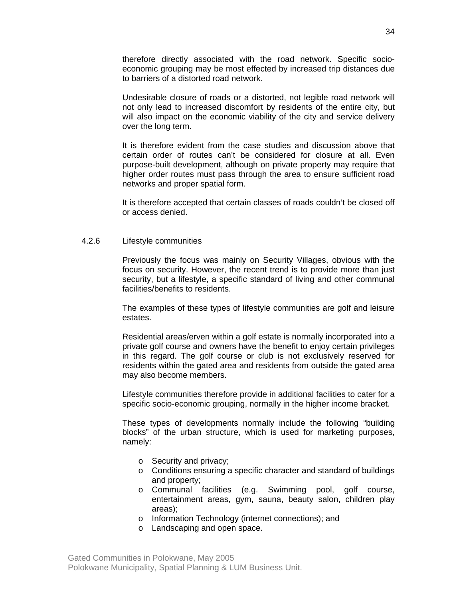therefore directly associated with the road network. Specific socioeconomic grouping may be most effected by increased trip distances due to barriers of a distorted road network.

Undesirable closure of roads or a distorted, not legible road network will not only lead to increased discomfort by residents of the entire city, but will also impact on the economic viability of the city and service delivery over the long term.

It is therefore evident from the case studies and discussion above that certain order of routes can't be considered for closure at all. Even purpose-built development, although on private property may require that higher order routes must pass through the area to ensure sufficient road networks and proper spatial form.

It is therefore accepted that certain classes of roads couldn't be closed off or access denied.

#### 4.2.6 Lifestyle communities

Previously the focus was mainly on Security Villages, obvious with the focus on security. However, the recent trend is to provide more than just security, but a lifestyle, a specific standard of living and other communal facilities/benefits to residents.

The examples of these types of lifestyle communities are golf and leisure estates.

Residential areas/erven within a golf estate is normally incorporated into a private golf course and owners have the benefit to enjoy certain privileges in this regard. The golf course or club is not exclusively reserved for residents within the gated area and residents from outside the gated area may also become members.

Lifestyle communities therefore provide in additional facilities to cater for a specific socio-economic grouping, normally in the higher income bracket.

These types of developments normally include the following "building blocks" of the urban structure, which is used for marketing purposes, namely:

- o Security and privacy;
- o Conditions ensuring a specific character and standard of buildings and property;
- o Communal facilities (e.g. Swimming pool, golf course, entertainment areas, gym, sauna, beauty salon, children play areas);
- o Information Technology (internet connections); and
- o Landscaping and open space.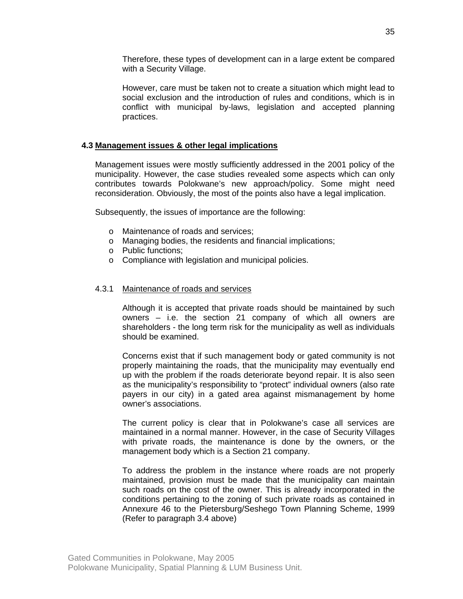Therefore, these types of development can in a large extent be compared with a Security Village.

However, care must be taken not to create a situation which might lead to social exclusion and the introduction of rules and conditions, which is in conflict with municipal by-laws, legislation and accepted planning practices.

### **4.3 Management issues & other legal implications**

Management issues were mostly sufficiently addressed in the 2001 policy of the municipality. However, the case studies revealed some aspects which can only contributes towards Polokwane's new approach/policy. Some might need reconsideration. Obviously, the most of the points also have a legal implication.

Subsequently, the issues of importance are the following:

- o Maintenance of roads and services;
- o Managing bodies, the residents and financial implications;
- o Public functions;
- o Compliance with legislation and municipal policies.

#### 4.3.1 Maintenance of roads and services

Although it is accepted that private roads should be maintained by such owners – i.e. the section 21 company of which all owners are shareholders - the long term risk for the municipality as well as individuals should be examined.

Concerns exist that if such management body or gated community is not properly maintaining the roads, that the municipality may eventually end up with the problem if the roads deteriorate beyond repair. It is also seen as the municipality's responsibility to "protect" individual owners (also rate payers in our city) in a gated area against mismanagement by home owner's associations.

The current policy is clear that in Polokwane's case all services are maintained in a normal manner. However, in the case of Security Villages with private roads, the maintenance is done by the owners, or the management body which is a Section 21 company.

To address the problem in the instance where roads are not properly maintained, provision must be made that the municipality can maintain such roads on the cost of the owner. This is already incorporated in the conditions pertaining to the zoning of such private roads as contained in Annexure 46 to the Pietersburg/Seshego Town Planning Scheme, 1999 (Refer to paragraph 3.4 above)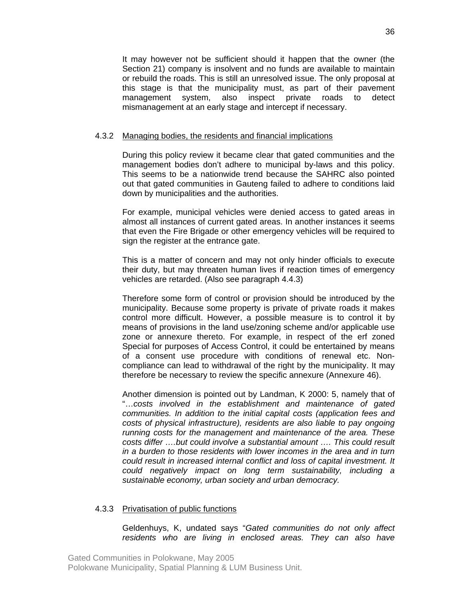It may however not be sufficient should it happen that the owner (the Section 21) company is insolvent and no funds are available to maintain or rebuild the roads. This is still an unresolved issue. The only proposal at this stage is that the municipality must, as part of their pavement management system, also inspect private roads to detect mismanagement at an early stage and intercept if necessary.

#### 4.3.2 Managing bodies, the residents and financial implications

During this policy review it became clear that gated communities and the management bodies don't adhere to municipal by-laws and this policy. This seems to be a nationwide trend because the SAHRC also pointed out that gated communities in Gauteng failed to adhere to conditions laid down by municipalities and the authorities.

For example, municipal vehicles were denied access to gated areas in almost all instances of current gated areas. In another instances it seems that even the Fire Brigade or other emergency vehicles will be required to sign the register at the entrance gate.

This is a matter of concern and may not only hinder officials to execute their duty, but may threaten human lives if reaction times of emergency vehicles are retarded. (Also see paragraph 4.4.3)

Therefore some form of control or provision should be introduced by the municipality. Because some property is private of private roads it makes control more difficult. However, a possible measure is to control it by means of provisions in the land use/zoning scheme and/or applicable use zone or annexure thereto. For example, in respect of the erf zoned Special for purposes of Access Control, it could be entertained by means of a consent use procedure with conditions of renewal etc. Noncompliance can lead to withdrawal of the right by the municipality. It may therefore be necessary to review the specific annexure (Annexure 46).

Another dimension is pointed out by Landman, K 2000: 5, namely that of "…*costs involved in the establishment and maintenance of gated communities. In addition to the initial capital costs (application fees and costs of physical infrastructure), residents are also liable to pay ongoing running costs for the management and maintenance of the area. These costs differ ….but could involve a substantial amount …. This could result in a burden to those residents with lower incomes in the area and in turn could result in increased internal conflict and loss of capital investment. It could negatively impact on long term sustainability, including a sustainable economy, urban society and urban democracy.*

#### 4.3.3 Privatisation of public functions

Geldenhuys, K, undated says "*Gated communities do not only affect residents who are living in enclosed areas. They can also have*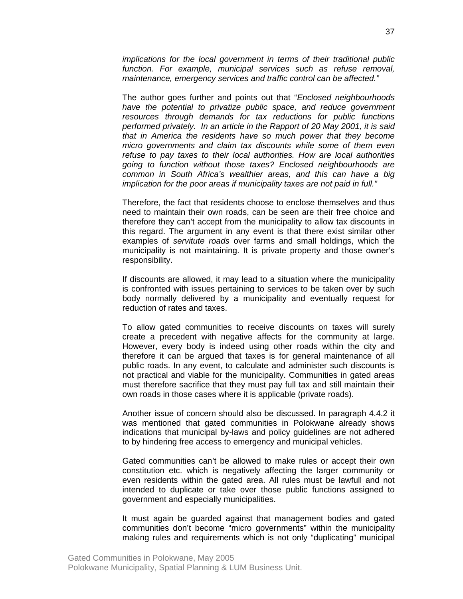*implications for the local government in terms of their traditional public function. For example, municipal services such as refuse removal, maintenance, emergency services and traffic control can be affected."*

The author goes further and points out that "*Enclosed neighbourhoods have the potential to privatize public space, and reduce government resources through demands for tax reductions for public functions performed privately. In an article in the Rapport of 20 May 2001, it is said that in America the residents have so much power that they become micro governments and claim tax discounts while some of them even refuse to pay taxes to their local authorities. How are local authorities going to function without those taxes? Enclosed neighbourhoods are common in South Africa's wealthier areas, and this can have a big implication for the poor areas if municipality taxes are not paid in full."* 

Therefore, the fact that residents choose to enclose themselves and thus need to maintain their own roads, can be seen are their free choice and therefore they can't accept from the municipality to allow tax discounts in this regard. The argument in any event is that there exist similar other examples of *servitute roads* over farms and small holdings, which the municipality is not maintaining. It is private property and those owner's responsibility.

If discounts are allowed, it may lead to a situation where the municipality is confronted with issues pertaining to services to be taken over by such body normally delivered by a municipality and eventually request for reduction of rates and taxes.

To allow gated communities to receive discounts on taxes will surely create a precedent with negative affects for the community at large. However, every body is indeed using other roads within the city and therefore it can be argued that taxes is for general maintenance of all public roads. In any event, to calculate and administer such discounts is not practical and viable for the municipality. Communities in gated areas must therefore sacrifice that they must pay full tax and still maintain their own roads in those cases where it is applicable (private roads).

Another issue of concern should also be discussed. In paragraph 4.4.2 it was mentioned that gated communities in Polokwane already shows indications that municipal by-laws and policy guidelines are not adhered to by hindering free access to emergency and municipal vehicles.

Gated communities can't be allowed to make rules or accept their own constitution etc. which is negatively affecting the larger community or even residents within the gated area. All rules must be lawfull and not intended to duplicate or take over those public functions assigned to government and especially municipalities.

It must again be guarded against that management bodies and gated communities don't become "micro governments" within the municipality making rules and requirements which is not only "duplicating" municipal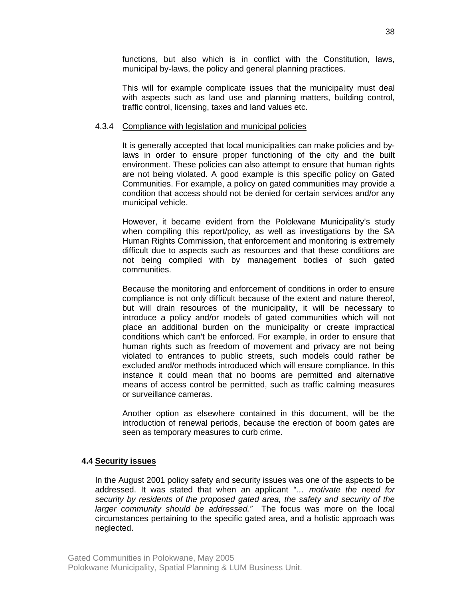functions, but also which is in conflict with the Constitution, laws, municipal by-laws, the policy and general planning practices.

This will for example complicate issues that the municipality must deal with aspects such as land use and planning matters, building control, traffic control, licensing, taxes and land values etc.

#### 4.3.4 Compliance with legislation and municipal policies

It is generally accepted that local municipalities can make policies and bylaws in order to ensure proper functioning of the city and the built environment. These policies can also attempt to ensure that human rights are not being violated. A good example is this specific policy on Gated Communities. For example, a policy on gated communities may provide a condition that access should not be denied for certain services and/or any municipal vehicle.

However, it became evident from the Polokwane Municipality's study when compiling this report/policy, as well as investigations by the SA Human Rights Commission, that enforcement and monitoring is extremely difficult due to aspects such as resources and that these conditions are not being complied with by management bodies of such gated communities.

Because the monitoring and enforcement of conditions in order to ensure compliance is not only difficult because of the extent and nature thereof, but will drain resources of the municipality, it will be necessary to introduce a policy and/or models of gated communities which will not place an additional burden on the municipality or create impractical conditions which can't be enforced. For example, in order to ensure that human rights such as freedom of movement and privacy are not being violated to entrances to public streets, such models could rather be excluded and/or methods introduced which will ensure compliance. In this instance it could mean that no booms are permitted and alternative means of access control be permitted, such as traffic calming measures or surveillance cameras.

Another option as elsewhere contained in this document, will be the introduction of renewal periods, because the erection of boom gates are seen as temporary measures to curb crime.

#### **4.4 Security issues**

In the August 2001 policy safety and security issues was one of the aspects to be addressed. It was stated that when an applicant *"… motivate the need for security by residents of the proposed gated area, the safety and security of the larger community should be addressed."* The focus was more on the local circumstances pertaining to the specific gated area, and a holistic approach was neglected.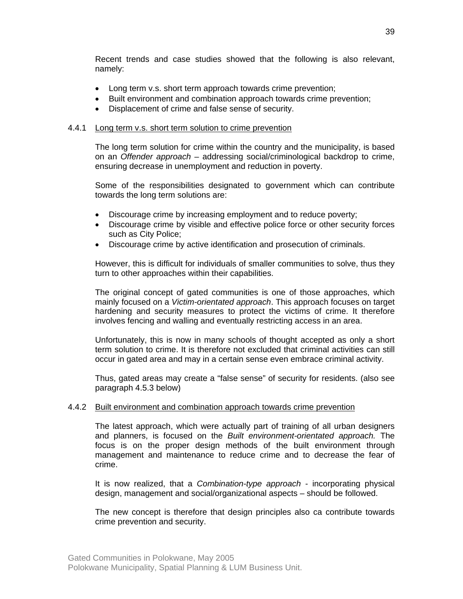Recent trends and case studies showed that the following is also relevant, namely:

- Long term v.s. short term approach towards crime prevention;
- Built environment and combination approach towards crime prevention;
- Displacement of crime and false sense of security.

#### 4.4.1 Long term v.s. short term solution to crime prevention

The long term solution for crime within the country and the municipality, is based on an *Offender approach* – addressing social/criminological backdrop to crime, ensuring decrease in unemployment and reduction in poverty.

Some of the responsibilities designated to government which can contribute towards the long term solutions are:

- Discourage crime by increasing employment and to reduce poverty;
- Discourage crime by visible and effective police force or other security forces such as City Police;
- Discourage crime by active identification and prosecution of criminals.

However, this is difficult for individuals of smaller communities to solve, thus they turn to other approaches within their capabilities.

The original concept of gated communities is one of those approaches, which mainly focused on a *Victim-orientated approach*. This approach focuses on target hardening and security measures to protect the victims of crime. It therefore involves fencing and walling and eventually restricting access in an area.

Unfortunately, this is now in many schools of thought accepted as only a short term solution to crime. It is therefore not excluded that criminal activities can still occur in gated area and may in a certain sense even embrace criminal activity.

Thus, gated areas may create a "false sense" of security for residents. (also see paragraph 4.5.3 below)

#### 4.4.2 Built environment and combination approach towards crime prevention

The latest approach, which were actually part of training of all urban designers and planners, is focused on the *Built environment-orientated approach.* The focus is on the proper design methods of the built environment through management and maintenance to reduce crime and to decrease the fear of crime.

It is now realized, that a *Combination-type approach* - incorporating physical design, management and social/organizational aspects – should be followed.

The new concept is therefore that design principles also ca contribute towards crime prevention and security.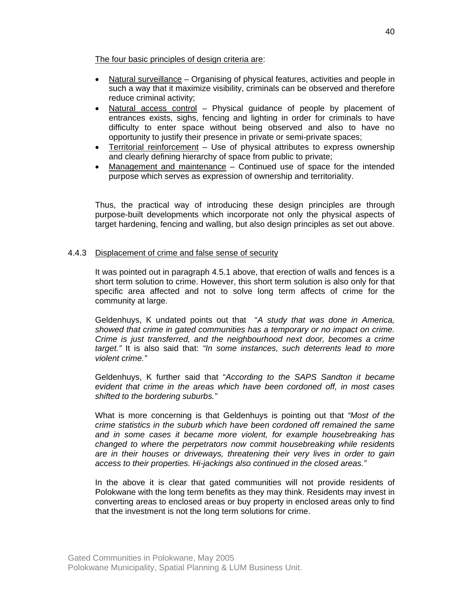The four basic principles of design criteria are:

- Natural surveillance Organising of physical features, activities and people in such a way that it maximize visibility, criminals can be observed and therefore reduce criminal activity;
- Natural access control Physical guidance of people by placement of entrances exists, sighs, fencing and lighting in order for criminals to have difficulty to enter space without being observed and also to have no opportunity to justify their presence in private or semi-private spaces;
- Territorial reinforcement Use of physical attributes to express ownership and clearly defining hierarchy of space from public to private;
- Management and maintenance Continued use of space for the intended purpose which serves as expression of ownership and territoriality.

Thus, the practical way of introducing these design principles are through purpose-built developments which incorporate not only the physical aspects of target hardening, fencing and walling, but also design principles as set out above.

## 4.4.3 Displacement of crime and false sense of security

It was pointed out in paragraph 4.5.1 above, that erection of walls and fences is a short term solution to crime. However, this short term solution is also only for that specific area affected and not to solve long term affects of crime for the community at large.

Geldenhuys, K undated points out that "*A study that was done in America, showed that crime in gated communities has a temporary or no impact on crime. Crime is just transferred, and the neighbourhood next door, becomes a crime target."* It is also said that: *"In some instances, such deterrents lead to more violent crime."*

Geldenhuys, K further said that "*According to the SAPS Sandton it became evident that crime in the areas which have been cordoned off, in most cases shifted to the bordering suburbs."* 

What is more concerning is that Geldenhuys is pointing out that *"Most of the crime statistics in the suburb which have been cordoned off remained the same and in some cases it became more violent, for example housebreaking has changed to where the perpetrators now commit housebreaking while residents are in their houses or driveways, threatening their very lives in order to gain access to their properties. Hi-jackings also continued in the closed areas."* 

In the above it is clear that gated communities will not provide residents of Polokwane with the long term benefits as they may think. Residents may invest in converting areas to enclosed areas or buy property in enclosed areas only to find that the investment is not the long term solutions for crime.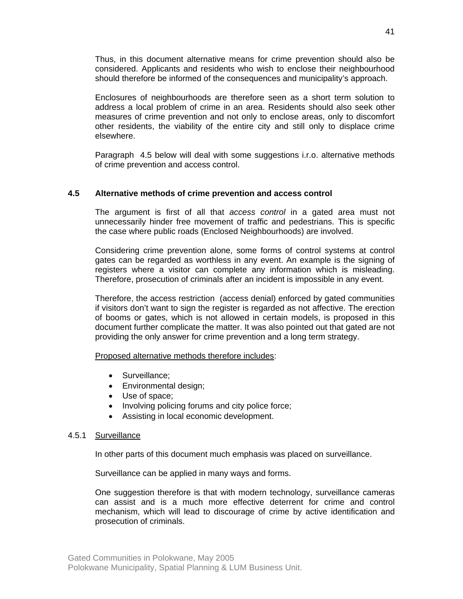Thus, in this document alternative means for crime prevention should also be considered. Applicants and residents who wish to enclose their neighbourhood should therefore be informed of the consequences and municipality's approach.

Enclosures of neighbourhoods are therefore seen as a short term solution to address a local problem of crime in an area. Residents should also seek other measures of crime prevention and not only to enclose areas, only to discomfort other residents, the viability of the entire city and still only to displace crime elsewhere.

Paragraph 4.5 below will deal with some suggestions i.r.o. alternative methods of crime prevention and access control.

## **4.5 Alternative methods of crime prevention and access control**

The argument is first of all that *access control* in a gated area must not unnecessarily hinder free movement of traffic and pedestrians. This is specific the case where public roads (Enclosed Neighbourhoods) are involved.

Considering crime prevention alone, some forms of control systems at control gates can be regarded as worthless in any event. An example is the signing of registers where a visitor can complete any information which is misleading. Therefore, prosecution of criminals after an incident is impossible in any event.

Therefore, the access restriction (access denial) enforced by gated communities if visitors don't want to sign the register is regarded as not affective. The erection of booms or gates, which is not allowed in certain models, is proposed in this document further complicate the matter. It was also pointed out that gated are not providing the only answer for crime prevention and a long term strategy.

Proposed alternative methods therefore includes:

- Surveillance;
- Environmental design;
- Use of space;
- Involving policing forums and city police force;
- Assisting in local economic development.

## 4.5.1 Surveillance

In other parts of this document much emphasis was placed on surveillance.

Surveillance can be applied in many ways and forms.

One suggestion therefore is that with modern technology, surveillance cameras can assist and is a much more effective deterrent for crime and control mechanism, which will lead to discourage of crime by active identification and prosecution of criminals.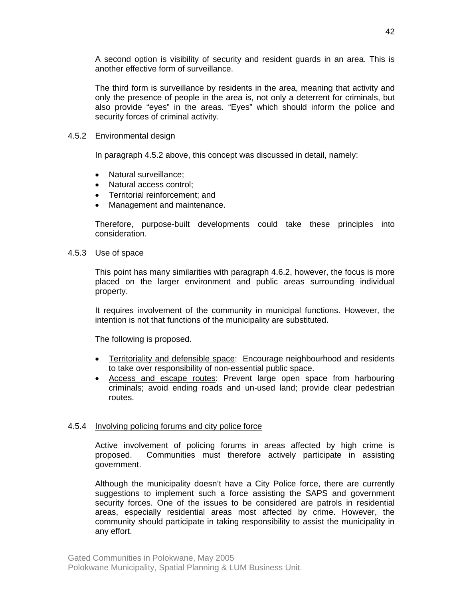A second option is visibility of security and resident guards in an area. This is another effective form of surveillance.

The third form is surveillance by residents in the area, meaning that activity and only the presence of people in the area is, not only a deterrent for criminals, but also provide "eyes" in the areas. "Eyes" which should inform the police and security forces of criminal activity.

### 4.5.2 Environmental design

In paragraph 4.5.2 above, this concept was discussed in detail, namely:

- Natural surveillance;
- Natural access control;
- Territorial reinforcement; and
- Management and maintenance.

Therefore, purpose-built developments could take these principles into consideration.

## 4.5.3 Use of space

This point has many similarities with paragraph 4.6.2, however, the focus is more placed on the larger environment and public areas surrounding individual property.

It requires involvement of the community in municipal functions. However, the intention is not that functions of the municipality are substituted.

The following is proposed.

- Territoriality and defensible space: Encourage neighbourhood and residents to take over responsibility of non-essential public space.
- Access and escape routes: Prevent large open space from harbouring criminals; avoid ending roads and un-used land; provide clear pedestrian routes.

#### 4.5.4 Involving policing forums and city police force

Active involvement of policing forums in areas affected by high crime is proposed. Communities must therefore actively participate in assisting government.

Although the municipality doesn't have a City Police force, there are currently suggestions to implement such a force assisting the SAPS and government security forces. One of the issues to be considered are patrols in residential areas, especially residential areas most affected by crime. However, the community should participate in taking responsibility to assist the municipality in any effort.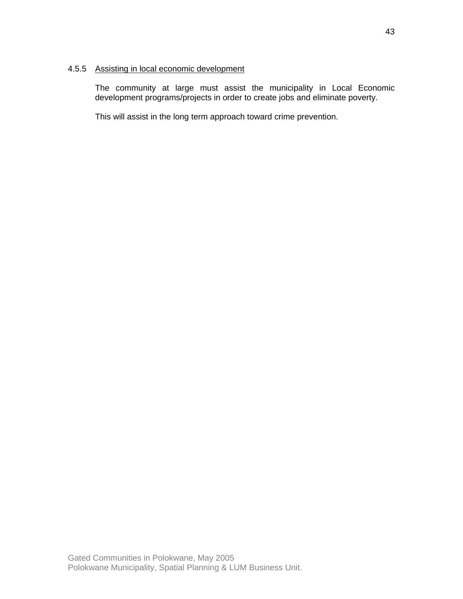## 4.5.5 Assisting in local economic development

The community at large must assist the municipality in Local Economic development programs/projects in order to create jobs and eliminate poverty.

This will assist in the long term approach toward crime prevention.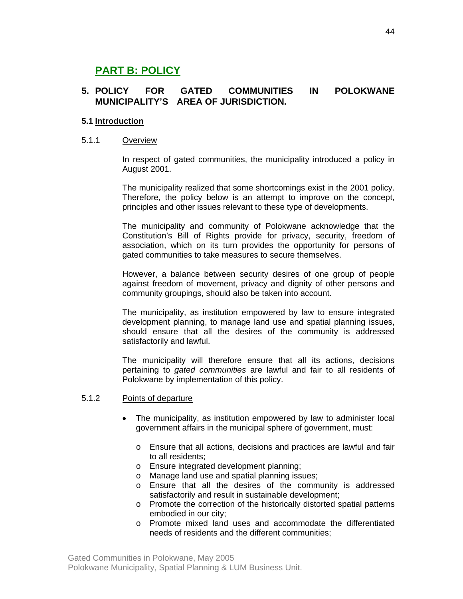# **PART B: POLICY**

## **5. POLICY FOR GATED COMMUNITIES IN POLOKWANE MUNICIPALITY'S AREA OF JURISDICTION.**

## **5.1 Introduction**

#### 5.1.1 Overview

In respect of gated communities, the municipality introduced a policy in August 2001.

The municipality realized that some shortcomings exist in the 2001 policy. Therefore, the policy below is an attempt to improve on the concept, principles and other issues relevant to these type of developments.

The municipality and community of Polokwane acknowledge that the Constitution's Bill of Rights provide for privacy, security, freedom of association, which on its turn provides the opportunity for persons of gated communities to take measures to secure themselves.

However, a balance between security desires of one group of people against freedom of movement, privacy and dignity of other persons and community groupings, should also be taken into account.

The municipality, as institution empowered by law to ensure integrated development planning, to manage land use and spatial planning issues, should ensure that all the desires of the community is addressed satisfactorily and lawful.

The municipality will therefore ensure that all its actions, decisions pertaining to *gated communities* are lawful and fair to all residents of Polokwane by implementation of this policy.

#### 5.1.2 Points of departure

- The municipality, as institution empowered by law to administer local government affairs in the municipal sphere of government, must:
	- o Ensure that all actions, decisions and practices are lawful and fair to all residents;
	- o Ensure integrated development planning;
	- o Manage land use and spatial planning issues;
	- o Ensure that all the desires of the community is addressed satisfactorily and result in sustainable development;
	- o Promote the correction of the historically distorted spatial patterns embodied in our city;
	- o Promote mixed land uses and accommodate the differentiated needs of residents and the different communities;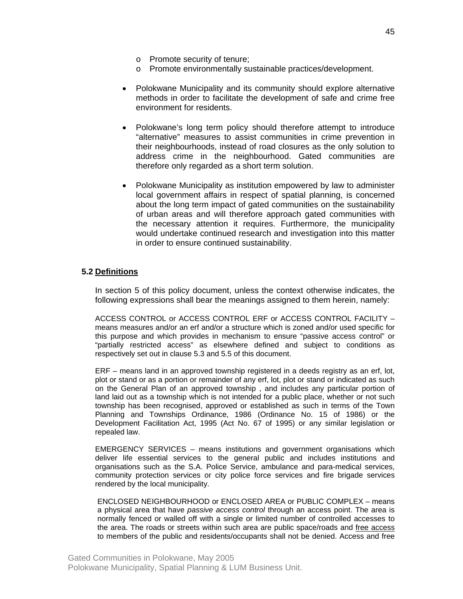- o Promote security of tenure;
- o Promote environmentally sustainable practices/development.
- Polokwane Municipality and its community should explore alternative methods in order to facilitate the development of safe and crime free environment for residents.
- Polokwane's long term policy should therefore attempt to introduce "alternative" measures to assist communities in crime prevention in their neighbourhoods, instead of road closures as the only solution to address crime in the neighbourhood. Gated communities are therefore only regarded as a short term solution.
- Polokwane Municipality as institution empowered by law to administer local government affairs in respect of spatial planning, is concerned about the long term impact of gated communities on the sustainability of urban areas and will therefore approach gated communities with the necessary attention it requires. Furthermore, the municipality would undertake continued research and investigation into this matter in order to ensure continued sustainability.

#### **5.2 Definitions**

In section 5 of this policy document, unless the context otherwise indicates, the following expressions shall bear the meanings assigned to them herein, namely:

ACCESS CONTROL or ACCESS CONTROL ERF or ACCESS CONTROL FACILITY – means measures and/or an erf and/or a structure which is zoned and/or used specific for this purpose and which provides in mechanism to ensure "passive access control" or "partially restricted access" as elsewhere defined and subject to conditions as respectively set out in clause 5.3 and 5.5 of this document.

ERF – means land in an approved township registered in a deeds registry as an erf, lot, plot or stand or as a portion or remainder of any erf, lot, plot or stand or indicated as such on the General Plan of an approved township , and includes any particular portion of land laid out as a township which is not intended for a public place, whether or not such township has been recognised, approved or established as such in terms of the Town Planning and Townships Ordinance, 1986 (Ordinance No. 15 of 1986) or the Development Facilitation Act, 1995 (Act No. 67 of 1995) or any similar legislation or repealed law.

EMERGENCY SERVICES – means institutions and government organisations which deliver life essential services to the general public and includes institutions and organisations such as the S.A. Police Service, ambulance and para-medical services, community protection services or city police force services and fire brigade services rendered by the local municipality.

ENCLOSED NEIGHBOURHOOD or ENCLOSED AREA or PUBLIC COMPLEX – means a physical area that have *passive access control* through an access point. The area is normally fenced or walled off with a single or limited number of controlled accesses to the area. The roads or streets within such area are public space/roads and free access to members of the public and residents/occupants shall not be denied. Access and free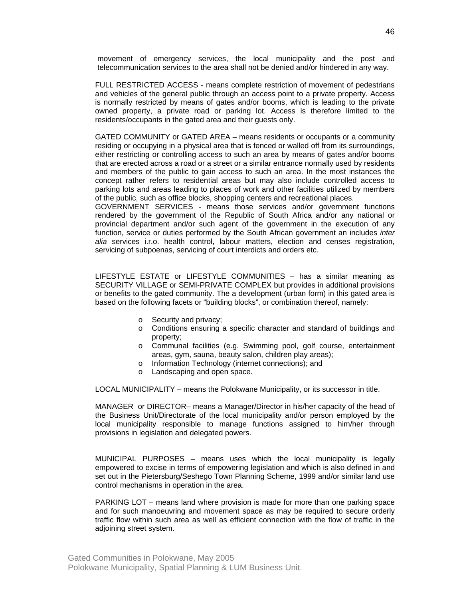movement of emergency services, the local municipality and the post and telecommunication services to the area shall not be denied and/or hindered in any way.

FULL RESTRICTED ACCESS - means complete restriction of movement of pedestrians and vehicles of the general public through an access point to a private property. Access is normally restricted by means of gates and/or booms, which is leading to the private owned property, a private road or parking lot. Access is therefore limited to the residents/occupants in the gated area and their guests only.

GATED COMMUNITY or GATED AREA – means residents or occupants or a community residing or occupying in a physical area that is fenced or walled off from its surroundings, either restricting or controlling access to such an area by means of gates and/or booms that are erected across a road or a street or a similar entrance normally used by residents and members of the public to gain access to such an area. In the most instances the concept rather refers to residential areas but may also include controlled access to parking lots and areas leading to places of work and other facilities utilized by members of the public, such as office blocks, shopping centers and recreational places.

GOVERNMENT SERVICES - means those services and/or government functions rendered by the government of the Republic of South Africa and/or any national or provincial department and/or such agent of the government in the execution of any function, service or duties performed by the South African government an includes *inter alia* services i.r.o. health control, labour matters, election and censes registration, servicing of subpoenas, servicing of court interdicts and orders etc.

LIFESTYLE ESTATE or LIFESTYLE COMMUNITIES – has a similar meaning as SECURITY VILLAGE or SEMI-PRIVATE COMPLEX but provides in additional provisions or benefits to the gated community. The a development (urban form) in this gated area is based on the following facets or "building blocks", or combination thereof, namely:

- o Security and privacy;
- o Conditions ensuring a specific character and standard of buildings and property;
- o Communal facilities (e.g. Swimming pool, golf course, entertainment areas, gym, sauna, beauty salon, children play areas);
- o Information Technology (internet connections); and
- o Landscaping and open space.

LOCAL MUNICIPALITY – means the Polokwane Municipality, or its successor in title.

MANAGER or DIRECTOR– means a Manager/Director in his/her capacity of the head of the Business Unit/Directorate of the local municipality and/or person employed by the local municipality responsible to manage functions assigned to him/her through provisions in legislation and delegated powers.

MUNICIPAL PURPOSES – means uses which the local municipality is legally empowered to excise in terms of empowering legislation and which is also defined in and set out in the Pietersburg/Seshego Town Planning Scheme, 1999 and/or similar land use control mechanisms in operation in the area.

PARKING LOT – means land where provision is made for more than one parking space and for such manoeuvring and movement space as may be required to secure orderly traffic flow within such area as well as efficient connection with the flow of traffic in the adjoining street system.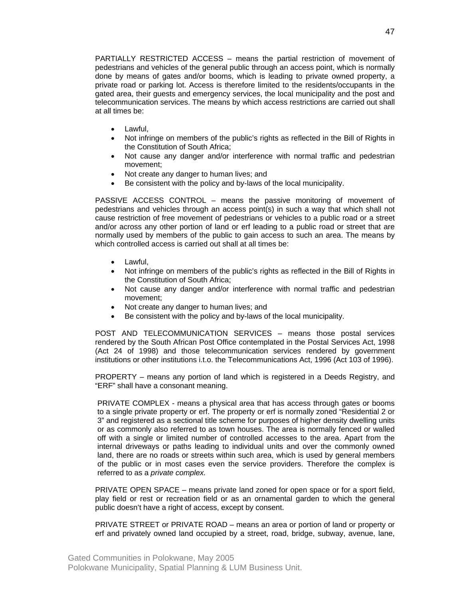PARTIALLY RESTRICTED ACCESS – means the partial restriction of movement of pedestrians and vehicles of the general public through an access point, which is normally done by means of gates and/or booms, which is leading to private owned property, a private road or parking lot. Access is therefore limited to the residents/occupants in the gated area, their guests and emergency services, the local municipality and the post and telecommunication services. The means by which access restrictions are carried out shall at all times be:

- Lawful,
- Not infringe on members of the public's rights as reflected in the Bill of Rights in the Constitution of South Africa;
- Not cause any danger and/or interference with normal traffic and pedestrian movement;
- Not create any danger to human lives; and
- Be consistent with the policy and by-laws of the local municipality.

PASSIVE ACCESS CONTROL – means the passive monitoring of movement of pedestrians and vehicles through an access point(s) in such a way that which shall not cause restriction of free movement of pedestrians or vehicles to a public road or a street and/or across any other portion of land or erf leading to a public road or street that are normally used by members of the public to gain access to such an area. The means by which controlled access is carried out shall at all times be:

- Lawful,
- Not infringe on members of the public's rights as reflected in the Bill of Rights in the Constitution of South Africa;
- Not cause any danger and/or interference with normal traffic and pedestrian movement;
- Not create any danger to human lives; and
- Be consistent with the policy and by-laws of the local municipality.

POST AND TELECOMMUNICATION SERVICES – means those postal services rendered by the South African Post Office contemplated in the Postal Services Act, 1998 (Act 24 of 1998) and those telecommunication services rendered by government institutions or other institutions i.t.o. the Telecommunications Act, 1996 (Act 103 of 1996).

PROPERTY – means any portion of land which is registered in a Deeds Registry, and "ERF" shall have a consonant meaning.

PRIVATE COMPLEX - means a physical area that has access through gates or booms to a single private property or erf. The property or erf is normally zoned "Residential 2 or 3" and registered as a sectional title scheme for purposes of higher density dwelling units or as commonly also referred to as town houses. The area is normally fenced or walled off with a single or limited number of controlled accesses to the area. Apart from the internal driveways or paths leading to individual units and over the commonly owned land, there are no roads or streets within such area, which is used by general members of the public or in most cases even the service providers. Therefore the complex is referred to as a *private complex.* 

PRIVATE OPEN SPACE – means private land zoned for open space or for a sport field, play field or rest or recreation field or as an ornamental garden to which the general public doesn't have a right of access, except by consent.

PRIVATE STREET or PRIVATE ROAD – means an area or portion of land or property or erf and privately owned land occupied by a street, road, bridge, subway, avenue, lane,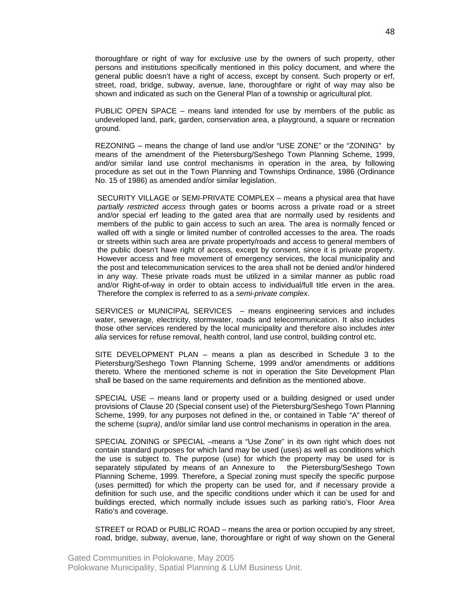thoroughfare or right of way for exclusive use by the owners of such property, other persons and institutions specifically mentioned in this policy document, and where the general public doesn't have a right of access, except by consent. Such property or erf, street, road, bridge, subway, avenue, lane, thoroughfare or right of way may also be shown and indicated as such on the General Plan of a township or agricultural plot.

PUBLIC OPEN SPACE – means land intended for use by members of the public as undeveloped land, park, garden, conservation area, a playground, a square or recreation ground.

REZONING – means the change of land use and/or "USE ZONE" or the "ZONING" by means of the amendment of the Pietersburg/Seshego Town Planning Scheme, 1999, and/or similar land use control mechanisms in operation in the area, by following procedure as set out in the Town Planning and Townships Ordinance, 1986 (Ordinance No. 15 of 1986) as amended and/or similar legislation.

SECURITY VILLAGE or SEMI-PRIVATE COMPLEX – means a physical area that have *partially restricted access* through gates or booms across a private road or a street and/or special erf leading to the gated area that are normally used by residents and members of the public to gain access to such an area. The area is normally fenced or walled off with a single or limited number of controlled accesses to the area. The roads or streets within such area are private property/roads and access to general members of the public doesn't have right of access, except by consent, since it is private property. However access and free movement of emergency services, the local municipality and the post and telecommunication services to the area shall not be denied and/or hindered in any way. These private roads must be utilized in a similar manner as public road and/or Right-of-way in order to obtain access to individual/full title erven in the area. Therefore the complex is referred to as a *semi-private complex*.

SERVICES or MUNICIPAL SERVICES – means engineering services and includes water, sewerage, electricity, stormwater, roads and telecommunication. It also includes those other services rendered by the local municipality and therefore also includes *inter alia* services for refuse removal, health control, land use control, building control etc.

SITE DEVELOPMENT PLAN – means a plan as described in Schedule 3 to the Pietersburg/Seshego Town Planning Scheme, 1999 and/or amendments or additions thereto. Where the mentioned scheme is not in operation the Site Development Plan shall be based on the same requirements and definition as the mentioned above.

SPECIAL USE – means land or property used or a building designed or used under provisions of Clause 20 (Special consent use) of the Pietersburg/Seshego Town Planning Scheme, 1999, for any purposes not defined in the, or contained in Table "A" thereof of the scheme (*supra)*, and/or similar land use control mechanisms in operation in the area.

SPECIAL ZONING or SPECIAL –means a "Use Zone" in its own right which does not contain standard purposes for which land may be used (uses) as well as conditions which the use is subject to. The purpose (use) for which the property may be used for is separately stipulated by means of an Annexure to the Pietersburg/Seshego Town Planning Scheme, 1999. Therefore, a Special zoning must specify the specific purpose (uses permitted) for which the property can be used for, and if necessary provide a definition for such use, and the specific conditions under which it can be used for and buildings erected, which normally include issues such as parking ratio's, Floor Area Ratio's and coverage.

STREET or ROAD or PUBLIC ROAD – means the area or portion occupied by any street, road, bridge, subway, avenue, lane, thoroughfare or right of way shown on the General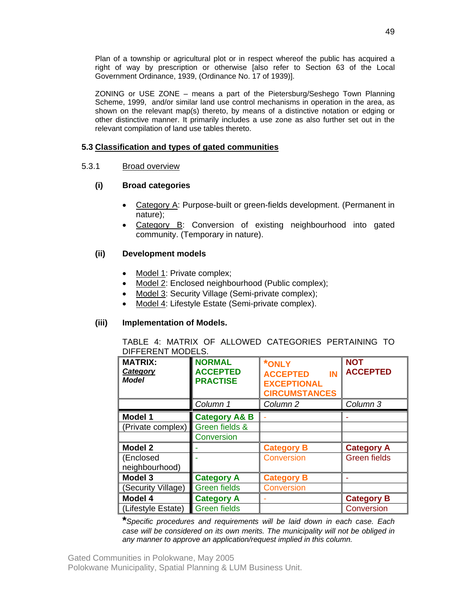Plan of a township or agricultural plot or in respect whereof the public has acquired a right of way by prescription or otherwise [also refer to Section 63 of the Local Government Ordinance, 1939, (Ordinance No. 17 of 1939)].

ZONING or USE ZONE – means a part of the Pietersburg/Seshego Town Planning Scheme, 1999, and/or similar land use control mechanisms in operation in the area, as shown on the relevant map(s) thereto, by means of a distinctive notation or edging or other distinctive manner. It primarily includes a use zone as also further set out in the relevant compilation of land use tables thereto.

## **5.3 Classification and types of gated communities**

## 5.3.1 Broad overview

## **(i) Broad categories**

- Category A: Purpose-built or green-fields development. (Permanent in nature);
- Category B: Conversion of existing neighbourhood into gated community. (Temporary in nature).

## **(ii) Development models**

- Model 1: Private complex;
- Model 2: Enclosed neighbourhood (Public complex);
- Model 3: Security Village (Semi-private complex);
- Model 4: Lifestyle Estate (Semi-private complex).

#### **(iii) Implementation of Models.**

TABLE 4: MATRIX OF ALLOWED CATEGORIES PERTAINING TO DIFFERENT MODELS.

| <b>MATRIX:</b><br>Category<br><b>Model</b> | <b>NORMAL</b><br><b>ACCEPTED</b><br><b>PRACTISE</b> | <b>*ONLY</b><br><b>ACCEPTED</b><br>IN<br><b>EXCEPTIONAL</b><br><b>CIRCUMSTANCES</b> | <b>NOT</b><br><b>ACCEPTED</b> |
|--------------------------------------------|-----------------------------------------------------|-------------------------------------------------------------------------------------|-------------------------------|
|                                            | Column 1                                            | Column <sub>2</sub>                                                                 | Column 3                      |
| <b>Model 1</b>                             | <b>Category A&amp; B</b>                            |                                                                                     |                               |
| (Private complex)                          | Green fields &                                      |                                                                                     |                               |
|                                            | Conversion                                          |                                                                                     |                               |
| <b>Model 2</b>                             |                                                     | <b>Category B</b>                                                                   | <b>Category A</b>             |
| (Enclosed                                  |                                                     | <b>Conversion</b>                                                                   | <b>Green fields</b>           |
| neighbourhood)                             |                                                     |                                                                                     |                               |
| Model 3                                    | <b>Category A</b>                                   | <b>Category B</b>                                                                   |                               |
| (Security Village)                         | <b>Green fields</b>                                 | <b>Conversion</b>                                                                   |                               |
| Model 4                                    | <b>Category A</b>                                   |                                                                                     | <b>Category B</b>             |
| (Lifestyle Estate)                         | <b>Green fields</b>                                 |                                                                                     | Conversion                    |

**\****Specific procedures and requirements will be laid down in each case. Each case will be considered on its own merits. The municipality will not be obliged in any manner to approve an application/request implied in this column.*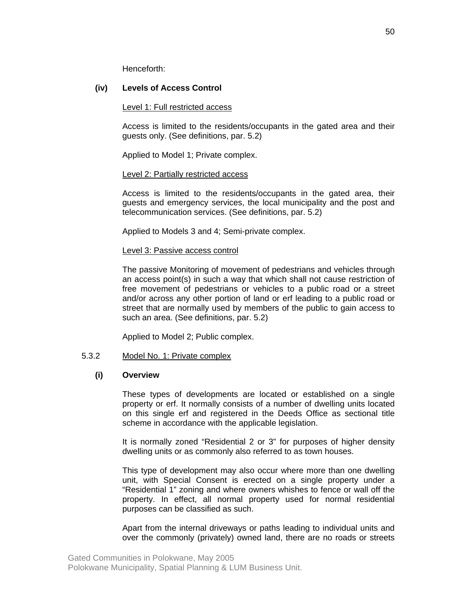Henceforth:

## **(iv) Levels of Access Control**

### Level 1: Full restricted access

Access is limited to the residents/occupants in the gated area and their guests only. (See definitions, par. 5.2)

Applied to Model 1; Private complex.

## Level 2: Partially restricted access

Access is limited to the residents/occupants in the gated area, their guests and emergency services, the local municipality and the post and telecommunication services. (See definitions, par. 5.2)

Applied to Models 3 and 4; Semi-private complex.

#### Level 3: Passive access control

The passive Monitoring of movement of pedestrians and vehicles through an access point(s) in such a way that which shall not cause restriction of free movement of pedestrians or vehicles to a public road or a street and/or across any other portion of land or erf leading to a public road or street that are normally used by members of the public to gain access to such an area. (See definitions, par. 5.2)

Applied to Model 2; Public complex.

## 5.3.2 Model No. 1: Private complex

## **(i) Overview**

These types of developments are located or established on a single property or erf. It normally consists of a number of dwelling units located on this single erf and registered in the Deeds Office as sectional title scheme in accordance with the applicable legislation.

It is normally zoned "Residential 2 or 3" for purposes of higher density dwelling units or as commonly also referred to as town houses.

This type of development may also occur where more than one dwelling unit, with Special Consent is erected on a single property under a "Residential 1" zoning and where owners whishes to fence or wall off the property. In effect, all normal property used for normal residential purposes can be classified as such.

Apart from the internal driveways or paths leading to individual units and over the commonly (privately) owned land, there are no roads or streets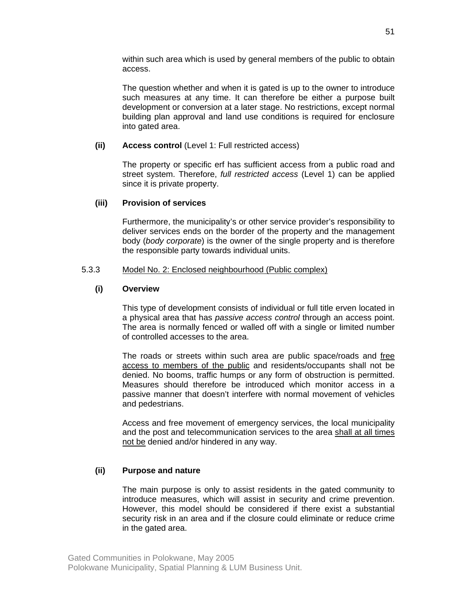within such area which is used by general members of the public to obtain access.

The question whether and when it is gated is up to the owner to introduce such measures at any time. It can therefore be either a purpose built development or conversion at a later stage. No restrictions, except normal building plan approval and land use conditions is required for enclosure into gated area.

#### **(ii) Access control** (Level 1: Full restricted access)

The property or specific erf has sufficient access from a public road and street system. Therefore, *full restricted access* (Level 1) can be applied since it is private property.

## **(iii) Provision of services**

Furthermore, the municipality's or other service provider's responsibility to deliver services ends on the border of the property and the management body (*body corporate*) is the owner of the single property and is therefore the responsible party towards individual units.

## 5.3.3 Model No. 2: Enclosed neighbourhood (Public complex)

## **(i) Overview**

This type of development consists of individual or full title erven located in a physical area that has *passive access control* through an access point. The area is normally fenced or walled off with a single or limited number of controlled accesses to the area.

The roads or streets within such area are public space/roads and free access to members of the public and residents/occupants shall not be denied. No booms, traffic humps or any form of obstruction is permitted. Measures should therefore be introduced which monitor access in a passive manner that doesn't interfere with normal movement of vehicles and pedestrians.

Access and free movement of emergency services, the local municipality and the post and telecommunication services to the area shall at all times not be denied and/or hindered in any way.

## **(ii) Purpose and nature**

The main purpose is only to assist residents in the gated community to introduce measures, which will assist in security and crime prevention. However, this model should be considered if there exist a substantial security risk in an area and if the closure could eliminate or reduce crime in the gated area.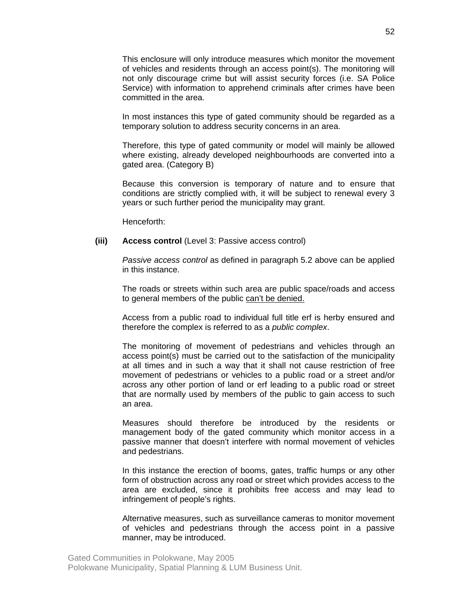This enclosure will only introduce measures which monitor the movement of vehicles and residents through an access point(s). The monitoring will not only discourage crime but will assist security forces (i.e. SA Police Service) with information to apprehend criminals after crimes have been committed in the area.

In most instances this type of gated community should be regarded as a temporary solution to address security concerns in an area.

Therefore, this type of gated community or model will mainly be allowed where existing, already developed neighbourhoods are converted into a gated area. (Category B)

Because this conversion is temporary of nature and to ensure that conditions are strictly complied with, it will be subject to renewal every 3 years or such further period the municipality may grant.

Henceforth:

#### **(iii) Access control** (Level 3: Passive access control)

*Passive access control* as defined in paragraph 5.2 above can be applied in this instance.

The roads or streets within such area are public space/roads and access to general members of the public can't be denied.

Access from a public road to individual full title erf is herby ensured and therefore the complex is referred to as a *public complex*.

The monitoring of movement of pedestrians and vehicles through an access point(s) must be carried out to the satisfaction of the municipality at all times and in such a way that it shall not cause restriction of free movement of pedestrians or vehicles to a public road or a street and/or across any other portion of land or erf leading to a public road or street that are normally used by members of the public to gain access to such an area.

Measures should therefore be introduced by the residents or management body of the gated community which monitor access in a passive manner that doesn't interfere with normal movement of vehicles and pedestrians.

In this instance the erection of booms, gates, traffic humps or any other form of obstruction across any road or street which provides access to the area are excluded, since it prohibits free access and may lead to infringement of people's rights.

Alternative measures, such as surveillance cameras to monitor movement of vehicles and pedestrians through the access point in a passive manner, may be introduced.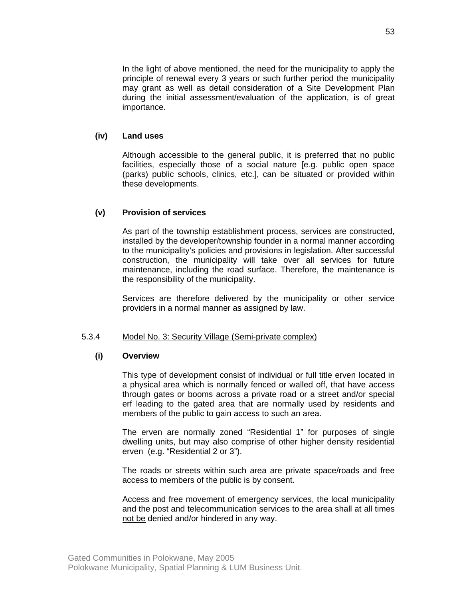In the light of above mentioned, the need for the municipality to apply the principle of renewal every 3 years or such further period the municipality may grant as well as detail consideration of a Site Development Plan during the initial assessment/evaluation of the application, is of great importance.

#### **(iv) Land uses**

Although accessible to the general public, it is preferred that no public facilities, especially those of a social nature [e.g. public open space (parks) public schools, clinics, etc.], can be situated or provided within these developments.

## **(v) Provision of services**

As part of the township establishment process, services are constructed, installed by the developer/township founder in a normal manner according to the municipality's policies and provisions in legislation. After successful construction, the municipality will take over all services for future maintenance, including the road surface. Therefore, the maintenance is the responsibility of the municipality.

Services are therefore delivered by the municipality or other service providers in a normal manner as assigned by law.

#### 5.3.4 Model No. 3: Security Village (Semi-private complex)

#### **(i) Overview**

This type of development consist of individual or full title erven located in a physical area which is normally fenced or walled off, that have access through gates or booms across a private road or a street and/or special erf leading to the gated area that are normally used by residents and members of the public to gain access to such an area.

The erven are normally zoned "Residential 1" for purposes of single dwelling units, but may also comprise of other higher density residential erven (e.g. "Residential 2 or 3").

The roads or streets within such area are private space/roads and free access to members of the public is by consent.

Access and free movement of emergency services, the local municipality and the post and telecommunication services to the area shall at all times not be denied and/or hindered in any way.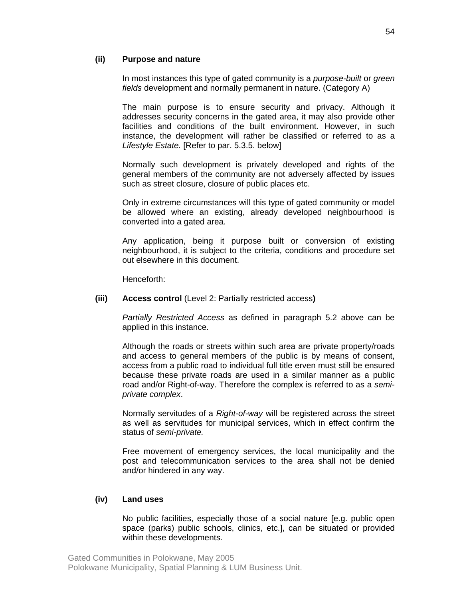## **(ii) Purpose and nature**

In most instances this type of gated community is a *purpose-built* or *green fields* development and normally permanent in nature. (Category A)

The main purpose is to ensure security and privacy. Although it addresses security concerns in the gated area, it may also provide other facilities and conditions of the built environment. However, in such instance, the development will rather be classified or referred to as a *Lifestyle Estate.* [Refer to par. 5.3.5. below]

Normally such development is privately developed and rights of the general members of the community are not adversely affected by issues such as street closure, closure of public places etc.

Only in extreme circumstances will this type of gated community or model be allowed where an existing, already developed neighbourhood is converted into a gated area.

Any application, being it purpose built or conversion of existing neighbourhood, it is subject to the criteria, conditions and procedure set out elsewhere in this document.

Henceforth:

#### **(iii) Access control** (Level 2: Partially restricted access**)**

*Partially Restricted Access* as defined in paragraph 5.2 above can be applied in this instance.

Although the roads or streets within such area are private property/roads and access to general members of the public is by means of consent, access from a public road to individual full title erven must still be ensured because these private roads are used in a similar manner as a public road and/or Right-of-way. Therefore the complex is referred to as a *semiprivate complex*.

Normally servitudes of a *Right-of-way* will be registered across the street as well as servitudes for municipal services, which in effect confirm the status of *semi-private.*

Free movement of emergency services, the local municipality and the post and telecommunication services to the area shall not be denied and/or hindered in any way.

## **(iv) Land uses**

No public facilities, especially those of a social nature [e.g. public open space (parks) public schools, clinics, etc.], can be situated or provided within these developments.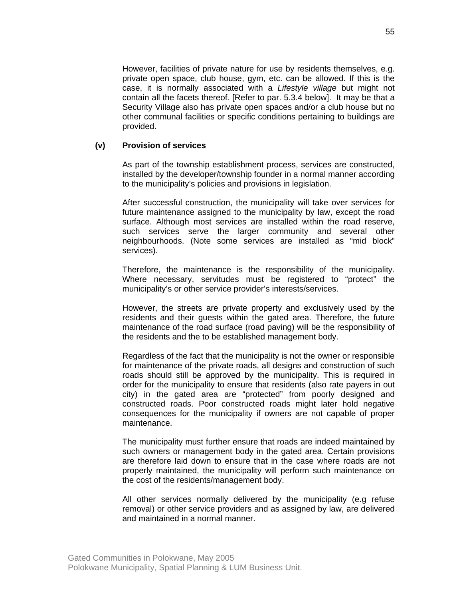However, facilities of private nature for use by residents themselves, e.g. private open space, club house, gym, etc. can be allowed. If this is the case, it is normally associated with a *Lifestyle village* but might not contain all the facets thereof*.* [Refer to par. 5.3.4 below]. It may be that a Security Village also has private open spaces and/or a club house but no other communal facilities or specific conditions pertaining to buildings are provided.

#### **(v) Provision of services**

As part of the township establishment process, services are constructed, installed by the developer/township founder in a normal manner according to the municipality's policies and provisions in legislation.

After successful construction, the municipality will take over services for future maintenance assigned to the municipality by law, except the road surface. Although most services are installed within the road reserve, such services serve the larger community and several other neighbourhoods. (Note some services are installed as "mid block" services).

Therefore, the maintenance is the responsibility of the municipality. Where necessary, servitudes must be registered to "protect" the municipality's or other service provider's interests/services.

However, the streets are private property and exclusively used by the residents and their guests within the gated area. Therefore, the future maintenance of the road surface (road paving) will be the responsibility of the residents and the to be established management body.

Regardless of the fact that the municipality is not the owner or responsible for maintenance of the private roads, all designs and construction of such roads should still be approved by the municipality. This is required in order for the municipality to ensure that residents (also rate payers in out city) in the gated area are "protected" from poorly designed and constructed roads. Poor constructed roads might later hold negative consequences for the municipality if owners are not capable of proper maintenance.

The municipality must further ensure that roads are indeed maintained by such owners or management body in the gated area. Certain provisions are therefore laid down to ensure that in the case where roads are not properly maintained, the municipality will perform such maintenance on the cost of the residents/management body.

All other services normally delivered by the municipality (e.g refuse removal) or other service providers and as assigned by law, are delivered and maintained in a normal manner.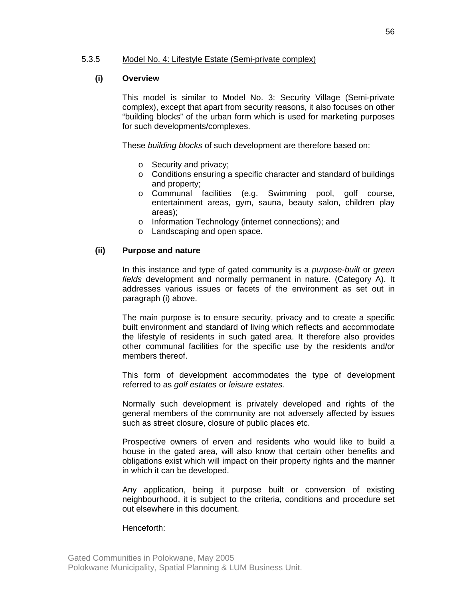## 5.3.5 Model No. 4: Lifestyle Estate (Semi-private complex)

## **(i) Overview**

This model is similar to Model No. 3: Security Village (Semi-private complex), except that apart from security reasons, it also focuses on other "building blocks" of the urban form which is used for marketing purposes for such developments/complexes.

These *building blocks* of such development are therefore based on:

- o Security and privacy;
- o Conditions ensuring a specific character and standard of buildings and property;
- o Communal facilities (e.g. Swimming pool, golf course, entertainment areas, gym, sauna, beauty salon, children play areas);
- o Information Technology (internet connections); and
- o Landscaping and open space.

## **(ii) Purpose and nature**

In this instance and type of gated community is a *purpose-built* or *green fields* development and normally permanent in nature. (Category A). It addresses various issues or facets of the environment as set out in paragraph (i) above.

The main purpose is to ensure security, privacy and to create a specific built environment and standard of living which reflects and accommodate the lifestyle of residents in such gated area. It therefore also provides other communal facilities for the specific use by the residents and/or members thereof.

This form of development accommodates the type of development referred to as *golf estates* or *leisure estates.*

Normally such development is privately developed and rights of the general members of the community are not adversely affected by issues such as street closure, closure of public places etc.

Prospective owners of erven and residents who would like to build a house in the gated area, will also know that certain other benefits and obligations exist which will impact on their property rights and the manner in which it can be developed.

Any application, being it purpose built or conversion of existing neighbourhood, it is subject to the criteria, conditions and procedure set out elsewhere in this document.

#### Henceforth: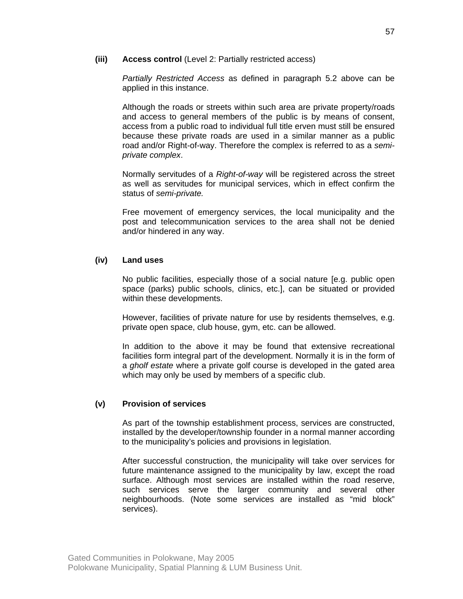## **(iii) Access control** (Level 2: Partially restricted access)

*Partially Restricted Access* as defined in paragraph 5.2 above can be applied in this instance.

Although the roads or streets within such area are private property/roads and access to general members of the public is by means of consent, access from a public road to individual full title erven must still be ensured because these private roads are used in a similar manner as a public road and/or Right-of-way. Therefore the complex is referred to as a *semiprivate complex*.

Normally servitudes of a *Right-of-way* will be registered across the street as well as servitudes for municipal services, which in effect confirm the status of *semi-private.*

Free movement of emergency services, the local municipality and the post and telecommunication services to the area shall not be denied and/or hindered in any way.

## **(iv) Land uses**

No public facilities, especially those of a social nature [e.g. public open space (parks) public schools, clinics, etc.], can be situated or provided within these developments.

However, facilities of private nature for use by residents themselves, e.g. private open space, club house, gym, etc. can be allowed.

In addition to the above it may be found that extensive recreational facilities form integral part of the development. Normally it is in the form of a *gholf estate* where a private golf course is developed in the gated area which may only be used by members of a specific club.

## **(v) Provision of services**

As part of the township establishment process, services are constructed, installed by the developer/township founder in a normal manner according to the municipality's policies and provisions in legislation.

After successful construction, the municipality will take over services for future maintenance assigned to the municipality by law, except the road surface. Although most services are installed within the road reserve, such services serve the larger community and several other neighbourhoods. (Note some services are installed as "mid block" services).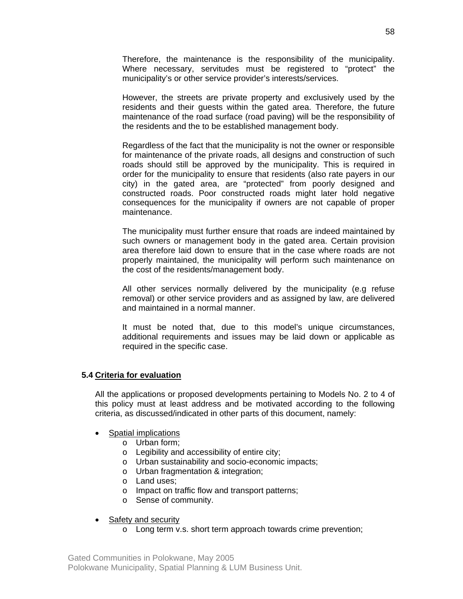Therefore, the maintenance is the responsibility of the municipality. Where necessary, servitudes must be registered to "protect" the municipality's or other service provider's interests/services.

However, the streets are private property and exclusively used by the residents and their guests within the gated area. Therefore, the future maintenance of the road surface (road paving) will be the responsibility of the residents and the to be established management body.

Regardless of the fact that the municipality is not the owner or responsible for maintenance of the private roads, all designs and construction of such roads should still be approved by the municipality. This is required in order for the municipality to ensure that residents (also rate payers in our city) in the gated area, are "protected" from poorly designed and constructed roads. Poor constructed roads might later hold negative consequences for the municipality if owners are not capable of proper maintenance.

The municipality must further ensure that roads are indeed maintained by such owners or management body in the gated area. Certain provision area therefore laid down to ensure that in the case where roads are not properly maintained, the municipality will perform such maintenance on the cost of the residents/management body.

All other services normally delivered by the municipality (e.g refuse removal) or other service providers and as assigned by law, are delivered and maintained in a normal manner.

It must be noted that, due to this model's unique circumstances, additional requirements and issues may be laid down or applicable as required in the specific case.

#### **5.4 Criteria for evaluation**

All the applications or proposed developments pertaining to Models No. 2 to 4 of this policy must at least address and be motivated according to the following criteria, as discussed/indicated in other parts of this document, namely:

#### • Spatial implications

- o Urban form;
- o Legibility and accessibility of entire city;
- o Urban sustainability and socio-economic impacts;
- o Urban fragmentation & integration;
- o Land uses;
- o Impact on traffic flow and transport patterns;
- o Sense of community.

## • Safety and security

o Long term v.s. short term approach towards crime prevention;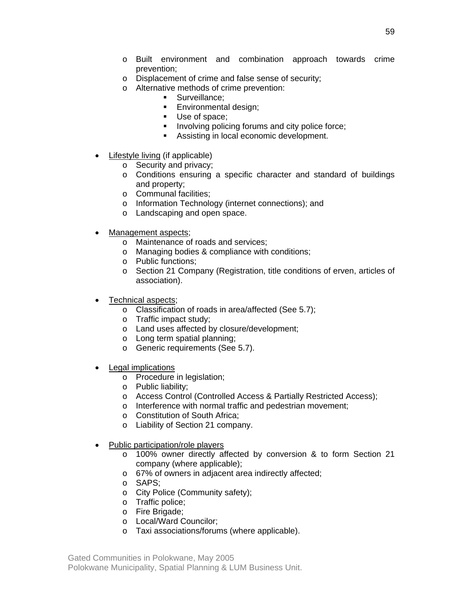- o Built environment and combination approach towards crime prevention;
- o Displacement of crime and false sense of security;
- o Alternative methods of crime prevention:
	- **Surveillance:** 
		- **Environmental design;**
		- Use of space;
		- **Involving policing forums and city police force;**
		- Assisting in local economic development.
- Lifestyle living (if applicable)
	- o Security and privacy;
	- o Conditions ensuring a specific character and standard of buildings and property;
	- o Communal facilities;
	- o Information Technology (internet connections); and
	- o Landscaping and open space.
- Management aspects;
	- o Maintenance of roads and services;
	- o Managing bodies & compliance with conditions;
	- o Public functions;
	- o Section 21 Company (Registration, title conditions of erven, articles of association).
- Technical aspects;
	- o Classification of roads in area/affected (See 5.7);
	- o Traffic impact study;
	- o Land uses affected by closure/development;
	- o Long term spatial planning;
	- o Generic requirements (See 5.7).
- Legal implications
	- o Procedure in legislation;
	- o Public liability;
	- o Access Control (Controlled Access & Partially Restricted Access);
	- o Interference with normal traffic and pedestrian movement;
	- o Constitution of South Africa;
	- o Liability of Section 21 company.
- Public participation/role players
	- o 100% owner directly affected by conversion & to form Section 21 company (where applicable);
	- o 67% of owners in adjacent area indirectly affected;
	- o SAPS;
	- o City Police (Community safety);
	- o Traffic police;
	- o Fire Brigade;
	- o Local/Ward Councilor;
	- o Taxi associations/forums (where applicable).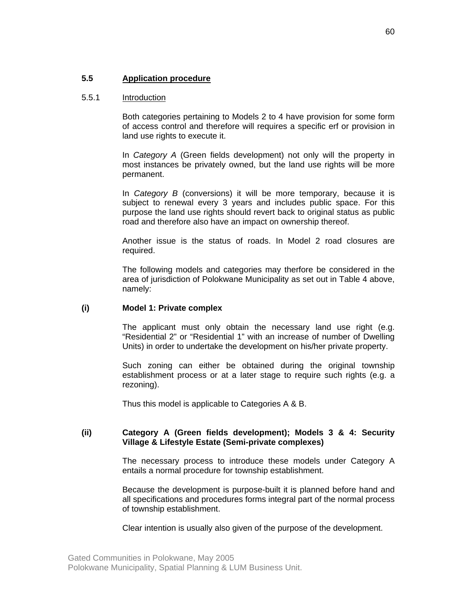## 5.5.1 Introduction

Both categories pertaining to Models 2 to 4 have provision for some form of access control and therefore will requires a specific erf or provision in land use rights to execute it.

In *Category A* (Green fields development) not only will the property in most instances be privately owned, but the land use rights will be more permanent.

In *Category B* (conversions) it will be more temporary, because it is subject to renewal every 3 years and includes public space. For this purpose the land use rights should revert back to original status as public road and therefore also have an impact on ownership thereof.

Another issue is the status of roads. In Model 2 road closures are required.

The following models and categories may therfore be considered in the area of jurisdiction of Polokwane Municipality as set out in Table 4 above, namely:

#### **(i) Model 1: Private complex**

The applicant must only obtain the necessary land use right (e.g. "Residential 2" or "Residential 1" with an increase of number of Dwelling Units) in order to undertake the development on his/her private property.

Such zoning can either be obtained during the original township establishment process or at a later stage to require such rights (e.g. a rezoning).

Thus this model is applicable to Categories A & B.

## **(ii) Category A (Green fields development); Models 3 & 4: Security Village & Lifestyle Estate (Semi-private complexes)**

The necessary process to introduce these models under Category A entails a normal procedure for township establishment.

Because the development is purpose-built it is planned before hand and all specifications and procedures forms integral part of the normal process of township establishment.

Clear intention is usually also given of the purpose of the development.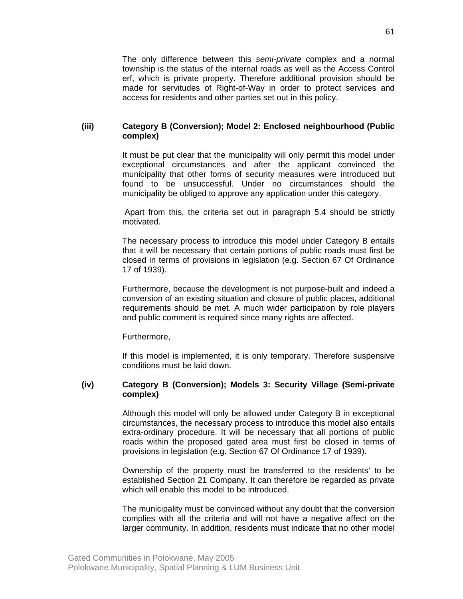The only difference between this *semi-private* complex and a normal township is the status of the internal roads as well as the Access Control erf, which is private property. Therefore additional provision should be made for servitudes of Right-of-Way in order to protect services and access for residents and other parties set out in this policy.

### **(iii) Category B (Conversion); Model 2: Enclosed neighbourhood (Public complex)**

It must be put clear that the municipality will only permit this model under exceptional circumstances and after the applicant convinced the municipality that other forms of security measures were introduced but found to be unsuccessful. Under no circumstances should the municipality be obliged to approve any application under this category.

 Apart from this, the criteria set out in paragraph 5.4 should be strictly motivated.

The necessary process to introduce this model under Category B entails that it will be necessary that certain portions of public roads must first be closed in terms of provisions in legislation (e.g. Section 67 Of Ordinance 17 of 1939).

Furthermore, because the development is not purpose-built and indeed a conversion of an existing situation and closure of public places, additional requirements should be met. A much wider participation by role players and public comment is required since many rights are affected.

Furthermore,

If this model is implemented, it is only temporary. Therefore suspensive conditions must be laid down.

#### **(iv) Category B (Conversion); Models 3: Security Village (Semi-private complex)**

Although this model will only be allowed under Category B in exceptional circumstances, the necessary process to introduce this model also entails extra-ordinary procedure. It will be necessary that all portions of public roads within the proposed gated area must first be closed in terms of provisions in legislation (e.g. Section 67 Of Ordinance 17 of 1939).

Ownership of the property must be transferred to the residents' to be established Section 21 Company. It can therefore be regarded as private which will enable this model to be introduced.

The municipality must be convinced without any doubt that the conversion complies with all the criteria and will not have a negative affect on the larger community. In addition, residents must indicate that no other model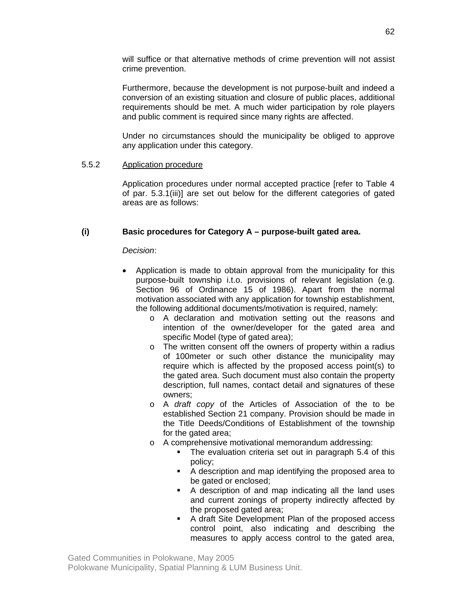will suffice or that alternative methods of crime prevention will not assist crime prevention.

Furthermore, because the development is not purpose-built and indeed a conversion of an existing situation and closure of public places, additional requirements should be met. A much wider participation by role players and public comment is required since many rights are affected.

Under no circumstances should the municipality be obliged to approve any application under this category.

## 5.5.2 Application procedure

Application procedures under normal accepted practice [refer to Table 4 of par. 5.3.1(iii)] are set out below for the different categories of gated areas are as follows:

## **(i) Basic procedures for Category A – purpose-built gated area.**

*Decision*:

- Application is made to obtain approval from the municipality for this purpose-built township i.t.o. provisions of relevant legislation (e.g. Section 96 of Ordinance 15 of 1986). Apart from the normal motivation associated with any application for township establishment, the following additional documents/motivation is required, namely:
	- o A declaration and motivation setting out the reasons and intention of the owner/developer for the gated area and specific Model (type of gated area);
	- o The written consent off the owners of property within a radius of 100meter or such other distance the municipality may require which is affected by the proposed access point(s) to the gated area. Such document must also contain the property description, full names, contact detail and signatures of these owners;
	- o A *draft copy* of the Articles of Association of the to be established Section 21 company. Provision should be made in the Title Deeds/Conditions of Establishment of the township for the gated area;
	- o A comprehensive motivational memorandum addressing:
		- The evaluation criteria set out in paragraph 5.4 of this policy;
		- A description and map identifying the proposed area to be gated or enclosed;
		- A description of and map indicating all the land uses and current zonings of property indirectly affected by the proposed gated area;
		- A draft Site Development Plan of the proposed access control point, also indicating and describing the measures to apply access control to the gated area,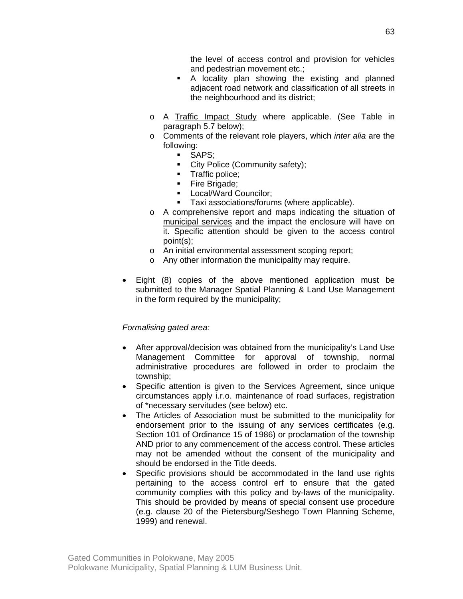the level of access control and provision for vehicles and pedestrian movement etc.;

- A locality plan showing the existing and planned adjacent road network and classification of all streets in the neighbourhood and its district;
- o A Traffic Impact Study where applicable. (See Table in paragraph 5.7 below);
- o Comments of the relevant role players, which *inter alia* are the following:
	- SAPS;
	- City Police (Community safety);
	- **Traffic police;**
	- Fire Brigade;
	- **Local/Ward Councilor;**
	- Taxi associations/forums (where applicable).
- o A comprehensive report and maps indicating the situation of municipal services and the impact the enclosure will have on it. Specific attention should be given to the access control point(s);
- o An initial environmental assessment scoping report;
- o Any other information the municipality may require.
- Eight (8) copies of the above mentioned application must be submitted to the Manager Spatial Planning & Land Use Management in the form required by the municipality;

#### *Formalising gated area:*

- After approval/decision was obtained from the municipality's Land Use Management Committee for approval of township, normal administrative procedures are followed in order to proclaim the township;
- Specific attention is given to the Services Agreement, since unique circumstances apply i.r.o. maintenance of road surfaces, registration of \*necessary servitudes (see below) etc.
- The Articles of Association must be submitted to the municipality for endorsement prior to the issuing of any services certificates (e.g. Section 101 of Ordinance 15 of 1986) or proclamation of the township AND prior to any commencement of the access control. These articles may not be amended without the consent of the municipality and should be endorsed in the Title deeds.
- Specific provisions should be accommodated in the land use rights pertaining to the access control erf to ensure that the gated community complies with this policy and by-laws of the municipality. This should be provided by means of special consent use procedure (e.g. clause 20 of the Pietersburg/Seshego Town Planning Scheme, 1999) and renewal.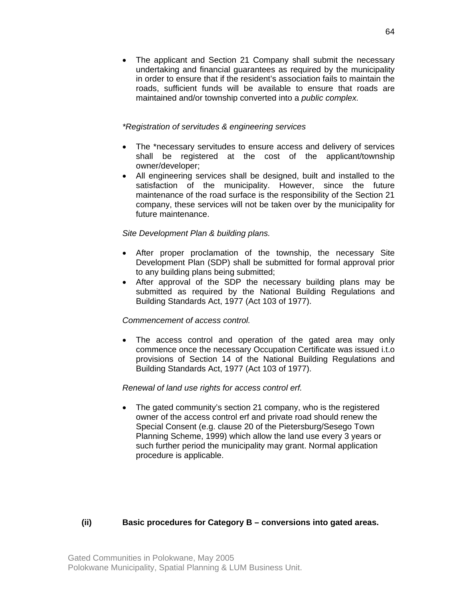• The applicant and Section 21 Company shall submit the necessary undertaking and financial guarantees as required by the municipality in order to ensure that if the resident's association fails to maintain the roads, sufficient funds will be available to ensure that roads are maintained and/or township converted into a *public complex.* 

## *\*Registration of servitudes & engineering services*

- The \*necessary servitudes to ensure access and delivery of services shall be registered at the cost of the applicant/township owner/developer;
- All engineering services shall be designed, built and installed to the satisfaction of the municipality. However, since the future maintenance of the road surface is the responsibility of the Section 21 company, these services will not be taken over by the municipality for future maintenance.

## *Site Development Plan & building plans.*

- After proper proclamation of the township, the necessary Site Development Plan (SDP) shall be submitted for formal approval prior to any building plans being submitted;
- After approval of the SDP the necessary building plans may be submitted as required by the National Building Regulations and Building Standards Act, 1977 (Act 103 of 1977).

#### *Commencement of access control.*

The access control and operation of the gated area may only commence once the necessary Occupation Certificate was issued i.t.o provisions of Section 14 of the National Building Regulations and Building Standards Act, 1977 (Act 103 of 1977).

#### *Renewal of land use rights for access control erf.*

• The gated community's section 21 company, who is the registered owner of the access control erf and private road should renew the Special Consent (e.g. clause 20 of the Pietersburg/Sesego Town Planning Scheme, 1999) which allow the land use every 3 years or such further period the municipality may grant. Normal application procedure is applicable.

## **(ii) Basic procedures for Category B – conversions into gated areas.**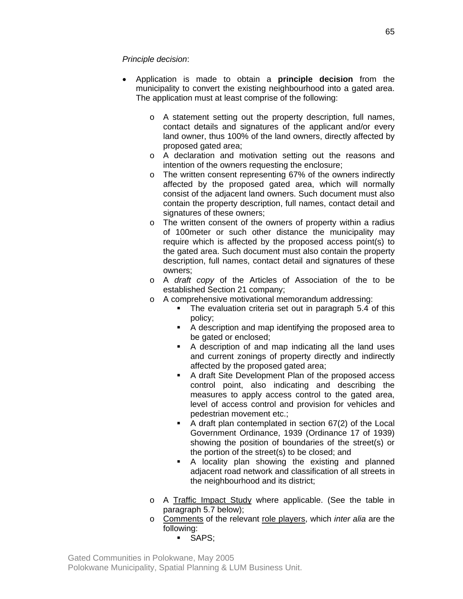## *Principle decision*:

- Application is made to obtain a **principle decision** from the municipality to convert the existing neighbourhood into a gated area. The application must at least comprise of the following:
	- o A statement setting out the property description, full names, contact details and signatures of the applicant and/or every land owner, thus 100% of the land owners, directly affected by proposed gated area;
	- o A declaration and motivation setting out the reasons and intention of the owners requesting the enclosure;
	- o The written consent representing 67% of the owners indirectly affected by the proposed gated area, which will normally consist of the adjacent land owners. Such document must also contain the property description, full names, contact detail and signatures of these owners;
	- o The written consent of the owners of property within a radius of 100meter or such other distance the municipality may require which is affected by the proposed access point(s) to the gated area. Such document must also contain the property description, full names, contact detail and signatures of these owners;
	- o A *draft copy* of the Articles of Association of the to be established Section 21 company;
	- o A comprehensive motivational memorandum addressing:
		- The evaluation criteria set out in paragraph 5.4 of this policy;
		- A description and map identifying the proposed area to be gated or enclosed;
		- A description of and map indicating all the land uses and current zonings of property directly and indirectly affected by the proposed gated area;
		- A draft Site Development Plan of the proposed access control point, also indicating and describing the measures to apply access control to the gated area, level of access control and provision for vehicles and pedestrian movement etc.;
		- A draft plan contemplated in section 67(2) of the Local Government Ordinance, 1939 (Ordinance 17 of 1939) showing the position of boundaries of the street(s) or the portion of the street(s) to be closed; and
		- A locality plan showing the existing and planned adjacent road network and classification of all streets in the neighbourhood and its district;
	- o A Traffic Impact Study where applicable. (See the table in paragraph 5.7 below);
	- o Comments of the relevant role players, which *inter alia* are the following:
		- **SAPS:**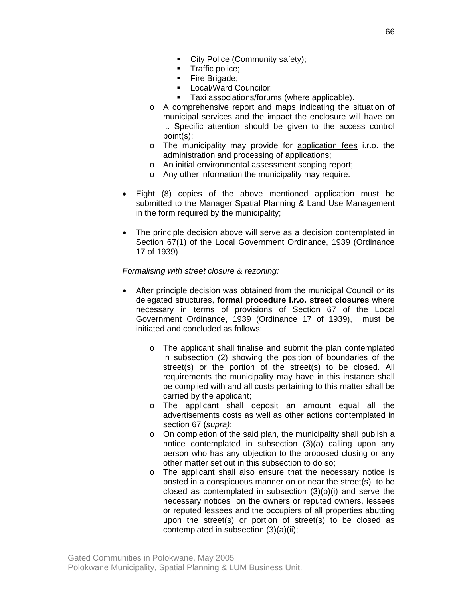- City Police (Community safety);
- **Traffic police;**
- Fire Brigade;
- **Local/Ward Councilor;**
- **Taxi associations/forums (where applicable).**
- o A comprehensive report and maps indicating the situation of municipal services and the impact the enclosure will have on it. Specific attention should be given to the access control point(s);
- o The municipality may provide for application fees i.r.o. the administration and processing of applications;
- o An initial environmental assessment scoping report;
- o Any other information the municipality may require.
- Eight (8) copies of the above mentioned application must be submitted to the Manager Spatial Planning & Land Use Management in the form required by the municipality;
- The principle decision above will serve as a decision contemplated in Section 67(1) of the Local Government Ordinance, 1939 (Ordinance 17 of 1939)

#### *Formalising with street closure & rezoning:*

- After principle decision was obtained from the municipal Council or its delegated structures, **formal procedure i.r.o. street closures** where necessary in terms of provisions of Section 67 of the Local Government Ordinance, 1939 (Ordinance 17 of 1939), must be initiated and concluded as follows:
	- o The applicant shall finalise and submit the plan contemplated in subsection (2) showing the position of boundaries of the street(s) or the portion of the street(s) to be closed. All requirements the municipality may have in this instance shall be complied with and all costs pertaining to this matter shall be carried by the applicant;
	- o The applicant shall deposit an amount equal all the advertisements costs as well as other actions contemplated in section 67 (*supra)*;
	- o On completion of the said plan, the municipality shall publish a notice contemplated in subsection (3)(a) calling upon any person who has any objection to the proposed closing or any other matter set out in this subsection to do so;
	- o The applicant shall also ensure that the necessary notice is posted in a conspicuous manner on or near the street(s) to be closed as contemplated in subsection (3)(b)(i) and serve the necessary notices on the owners or reputed owners, lessees or reputed lessees and the occupiers of all properties abutting upon the street(s) or portion of street(s) to be closed as contemplated in subsection (3)(a)(ii);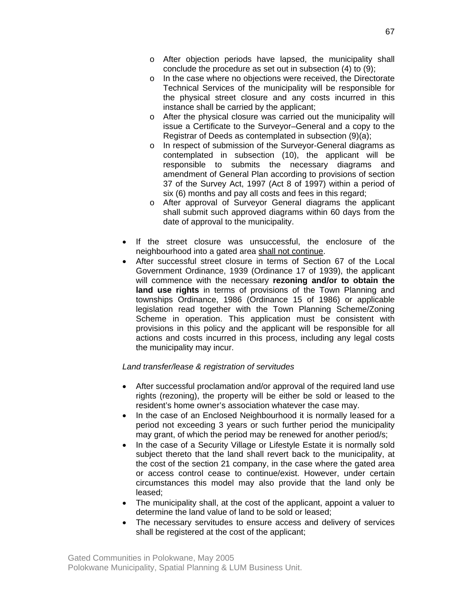- o After objection periods have lapsed, the municipality shall conclude the procedure as set out in subsection (4) to (9);
- o In the case where no objections were received, the Directorate Technical Services of the municipality will be responsible for the physical street closure and any costs incurred in this instance shall be carried by the applicant;
- o After the physical closure was carried out the municipality will issue a Certificate to the Surveyor–General and a copy to the Registrar of Deeds as contemplated in subsection (9)(a);
- o In respect of submission of the Surveyor-General diagrams as contemplated in subsection (10), the applicant will be responsible to submits the necessary diagrams and amendment of General Plan according to provisions of section 37 of the Survey Act, 1997 (Act 8 of 1997) within a period of six (6) months and pay all costs and fees in this regard;
- o After approval of Surveyor General diagrams the applicant shall submit such approved diagrams within 60 days from the date of approval to the municipality.
- If the street closure was unsuccessful, the enclosure of the neighbourhood into a gated area shall not continue.
- After successful street closure in terms of Section 67 of the Local Government Ordinance, 1939 (Ordinance 17 of 1939), the applicant will commence with the necessary **rezoning and/or to obtain the land use rights** in terms of provisions of the Town Planning and townships Ordinance, 1986 (Ordinance 15 of 1986) or applicable legislation read together with the Town Planning Scheme/Zoning Scheme in operation. This application must be consistent with provisions in this policy and the applicant will be responsible for all actions and costs incurred in this process, including any legal costs the municipality may incur.

## *Land transfer/lease & registration of servitudes*

- After successful proclamation and/or approval of the required land use rights (rezoning), the property will be either be sold or leased to the resident's home owner's association whatever the case may.
- In the case of an Enclosed Neighbourhood it is normally leased for a period not exceeding 3 years or such further period the municipality may grant, of which the period may be renewed for another period/s;
- In the case of a Security Village or Lifestyle Estate it is normally sold subject thereto that the land shall revert back to the municipality, at the cost of the section 21 company, in the case where the gated area or access control cease to continue/exist. However, under certain circumstances this model may also provide that the land only be leased;
- The municipality shall, at the cost of the applicant, appoint a valuer to determine the land value of land to be sold or leased;
- The necessary servitudes to ensure access and delivery of services shall be registered at the cost of the applicant;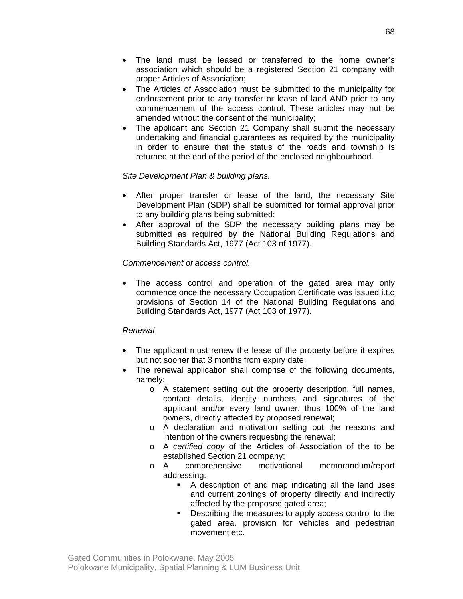- The land must be leased or transferred to the home owner's association which should be a registered Section 21 company with proper Articles of Association;
- The Articles of Association must be submitted to the municipality for endorsement prior to any transfer or lease of land AND prior to any commencement of the access control. These articles may not be amended without the consent of the municipality;
- The applicant and Section 21 Company shall submit the necessary undertaking and financial guarantees as required by the municipality in order to ensure that the status of the roads and township is returned at the end of the period of the enclosed neighbourhood.

## *Site Development Plan & building plans.*

- After proper transfer or lease of the land, the necessary Site Development Plan (SDP) shall be submitted for formal approval prior to any building plans being submitted;
- After approval of the SDP the necessary building plans may be submitted as required by the National Building Regulations and Building Standards Act, 1977 (Act 103 of 1977).

## *Commencement of access control.*

• The access control and operation of the gated area may only commence once the necessary Occupation Certificate was issued i.t.o provisions of Section 14 of the National Building Regulations and Building Standards Act, 1977 (Act 103 of 1977).

#### *Renewal*

- The applicant must renew the lease of the property before it expires but not sooner that 3 months from expiry date;
- The renewal application shall comprise of the following documents, namely:
	- o A statement setting out the property description, full names, contact details, identity numbers and signatures of the applicant and/or every land owner, thus 100% of the land owners, directly affected by proposed renewal;
	- o A declaration and motivation setting out the reasons and intention of the owners requesting the renewal;
	- o A *certified copy* of the Articles of Association of the to be established Section 21 company;
	- o A comprehensive motivational memorandum/report addressing:
		- A description of and map indicating all the land uses and current zonings of property directly and indirectly affected by the proposed gated area;
		- Describing the measures to apply access control to the gated area, provision for vehicles and pedestrian movement etc.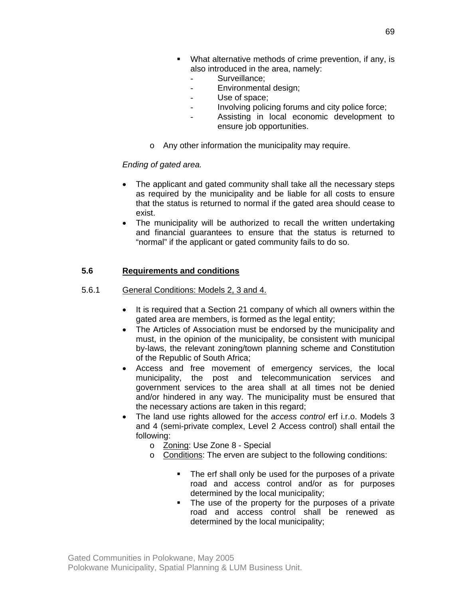- What alternative methods of crime prevention, if any, is also introduced in the area, namely:
	- Surveillance:
	- Environmental design;
	- Use of space;
	- Involving policing forums and city police force;
	- Assisting in local economic development to ensure job opportunities.
- o Any other information the municipality may require.

## *Ending of gated area.*

- The applicant and gated community shall take all the necessary steps as required by the municipality and be liable for all costs to ensure that the status is returned to normal if the gated area should cease to exist.
- The municipality will be authorized to recall the written undertaking and financial guarantees to ensure that the status is returned to "normal" if the applicant or gated community fails to do so.

## **5.6 Requirements and conditions**

- 5.6.1 General Conditions: Models 2, 3 and 4.
	- It is required that a Section 21 company of which all owners within the gated area are members, is formed as the legal entity;
	- The Articles of Association must be endorsed by the municipality and must, in the opinion of the municipality, be consistent with municipal by-laws, the relevant zoning/town planning scheme and Constitution of the Republic of South Africa;
	- Access and free movement of emergency services, the local municipality, the post and telecommunication services and government services to the area shall at all times not be denied and/or hindered in any way. The municipality must be ensured that the necessary actions are taken in this regard;
	- The land use rights allowed for the *access control* erf i.r.o. Models 3 and 4 (semi-private complex, Level 2 Access control) shall entail the following:
		- o Zoning: Use Zone 8 Special
		- o Conditions: The erven are subject to the following conditions:
			- The erf shall only be used for the purposes of a private road and access control and/or as for purposes determined by the local municipality;
			- The use of the property for the purposes of a private road and access control shall be renewed as determined by the local municipality;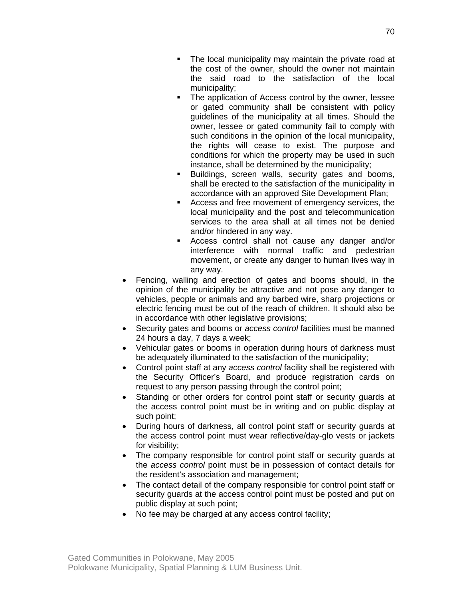- The local municipality may maintain the private road at the cost of the owner, should the owner not maintain the said road to the satisfaction of the local municipality;
- The application of Access control by the owner, lessee or gated community shall be consistent with policy guidelines of the municipality at all times. Should the owner, lessee or gated community fail to comply with such conditions in the opinion of the local municipality, the rights will cease to exist. The purpose and conditions for which the property may be used in such instance, shall be determined by the municipality;
- Buildings, screen walls, security gates and booms, shall be erected to the satisfaction of the municipality in accordance with an approved Site Development Plan;
- Access and free movement of emergency services, the local municipality and the post and telecommunication services to the area shall at all times not be denied and/or hindered in any way.
- Access control shall not cause any danger and/or interference with normal traffic and pedestrian movement, or create any danger to human lives way in any way.
- Fencing, walling and erection of gates and booms should, in the opinion of the municipality be attractive and not pose any danger to vehicles, people or animals and any barbed wire, sharp projections or electric fencing must be out of the reach of children. It should also be in accordance with other legislative provisions;
- Security gates and booms or *access control* facilities must be manned 24 hours a day, 7 days a week;
- Vehicular gates or booms in operation during hours of darkness must be adequately illuminated to the satisfaction of the municipality;
- Control point staff at any *access control* facility shall be registered with the Security Officer's Board, and produce registration cards on request to any person passing through the control point;
- Standing or other orders for control point staff or security guards at the access control point must be in writing and on public display at such point;
- During hours of darkness, all control point staff or security guards at the access control point must wear reflective/day-glo vests or jackets for visibility;
- The company responsible for control point staff or security guards at the *access control* point must be in possession of contact details for the resident's association and management;
- The contact detail of the company responsible for control point staff or security guards at the access control point must be posted and put on public display at such point;
- No fee may be charged at any access control facility;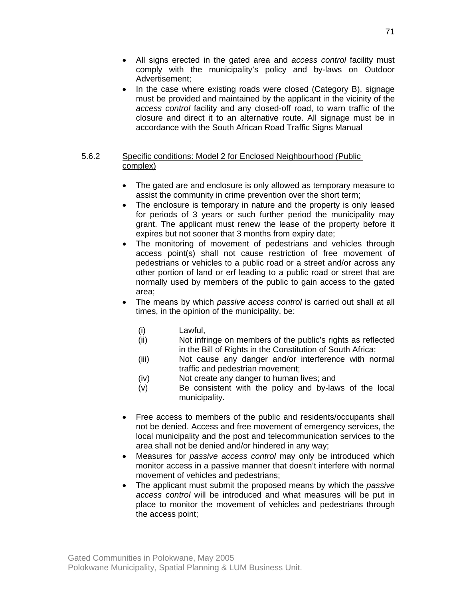- All signs erected in the gated area and *access control* facility must comply with the municipality's policy and by-laws on Outdoor Advertisement;
- In the case where existing roads were closed (Category B), signage must be provided and maintained by the applicant in the vicinity of the *access control* facility and any closed-off road, to warn traffic of the closure and direct it to an alternative route. All signage must be in accordance with the South African Road Traffic Signs Manual

## 5.6.2 Specific conditions: Model 2 for Enclosed Neighbourhood (Public complex)

- The gated are and enclosure is only allowed as temporary measure to assist the community in crime prevention over the short term;
- The enclosure is temporary in nature and the property is only leased for periods of 3 years or such further period the municipality may grant. The applicant must renew the lease of the property before it expires but not sooner that 3 months from expiry date;
- The monitoring of movement of pedestrians and vehicles through access point(s) shall not cause restriction of free movement of pedestrians or vehicles to a public road or a street and/or across any other portion of land or erf leading to a public road or street that are normally used by members of the public to gain access to the gated area;
- The means by which *passive access control* is carried out shall at all times, in the opinion of the municipality, be:
	- (i) Lawful,
	- (ii) Not infringe on members of the public's rights as reflected in the Bill of Rights in the Constitution of South Africa;
	- (iii) Not cause any danger and/or interference with normal traffic and pedestrian movement;
	- (iv) Not create any danger to human lives; and
	- (v) Be consistent with the policy and by-laws of the local municipality.
- Free access to members of the public and residents/occupants shall not be denied. Access and free movement of emergency services, the local municipality and the post and telecommunication services to the area shall not be denied and/or hindered in any way;
- Measures for *passive access control* may only be introduced which monitor access in a passive manner that doesn't interfere with normal movement of vehicles and pedestrians;
- The applicant must submit the proposed means by which the *passive access control* will be introduced and what measures will be put in place to monitor the movement of vehicles and pedestrians through the access point;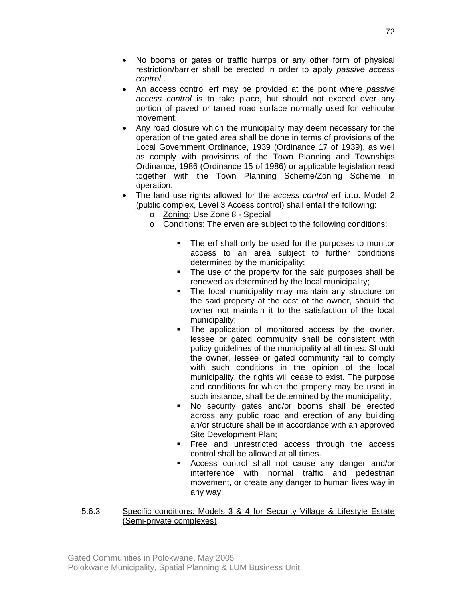- No booms or gates or traffic humps or any other form of physical restriction/barrier shall be erected in order to apply *passive access control* .
- An access control erf may be provided at the point where *passive access control* is to take place, but should not exceed over any portion of paved or tarred road surface normally used for vehicular movement.
- Any road closure which the municipality may deem necessary for the operation of the gated area shall be done in terms of provisions of the Local Government Ordinance, 1939 (Ordinance 17 of 1939), as well as comply with provisions of the Town Planning and Townships Ordinance, 1986 (Ordinance 15 of 1986) or applicable legislation read together with the Town Planning Scheme/Zoning Scheme in operation.
- The land use rights allowed for the *access control* erf i.r.o. Model 2 (public complex, Level 3 Access control) shall entail the following:
	- o Zoning: Use Zone 8 Special
	- o Conditions: The erven are subject to the following conditions:
		- The erf shall only be used for the purposes to monitor access to an area subject to further conditions determined by the municipality;
		- The use of the property for the said purposes shall be renewed as determined by the local municipality;
		- **The local municipality may maintain any structure on** the said property at the cost of the owner, should the owner not maintain it to the satisfaction of the local municipality;
		- The application of monitored access by the owner, lessee or gated community shall be consistent with policy guidelines of the municipality at all times. Should the owner, lessee or gated community fail to comply with such conditions in the opinion of the local municipality, the rights will cease to exist. The purpose and conditions for which the property may be used in such instance, shall be determined by the municipality;
		- No security gates and/or booms shall be erected across any public road and erection of any building an/or structure shall be in accordance with an approved Site Development Plan;
		- **Figure 1** Free and unrestricted access through the access control shall be allowed at all times.
		- Access control shall not cause any danger and/or interference with normal traffic and pedestrian movement, or create any danger to human lives way in any way.

# 5.6.3 Specific conditions: Models 3 & 4 for Security Village & Lifestyle Estate (Semi-private complexes)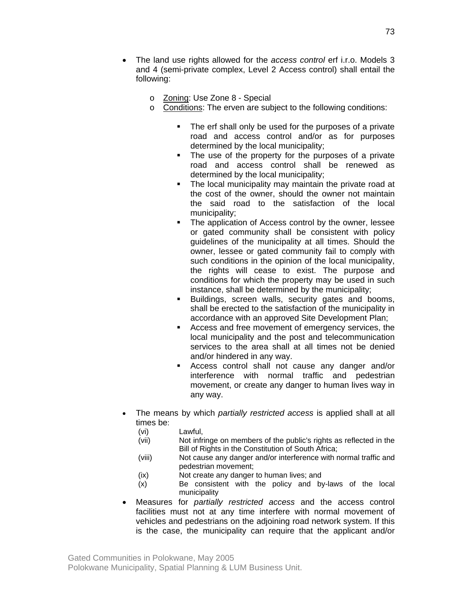- o Zoning: Use Zone 8 Special
- o Conditions: The erven are subject to the following conditions:
	- The erf shall only be used for the purposes of a private road and access control and/or as for purposes determined by the local municipality;
	- The use of the property for the purposes of a private road and access control shall be renewed as determined by the local municipality;
	- The local municipality may maintain the private road at the cost of the owner, should the owner not maintain the said road to the satisfaction of the local municipality;
	- The application of Access control by the owner, lessee or gated community shall be consistent with policy guidelines of the municipality at all times. Should the owner, lessee or gated community fail to comply with such conditions in the opinion of the local municipality, the rights will cease to exist. The purpose and conditions for which the property may be used in such instance, shall be determined by the municipality;
	- **Buildings, screen walls, security gates and booms,** shall be erected to the satisfaction of the municipality in accordance with an approved Site Development Plan;
	- Access and free movement of emergency services, the local municipality and the post and telecommunication services to the area shall at all times not be denied and/or hindered in any way.
	- Access control shall not cause any danger and/or interference with normal traffic and pedestrian movement, or create any danger to human lives way in any way.
- The means by which *partially restricted access* is applied shall at all times be:
	- (vi) Lawful,
	- (vii) Not infringe on members of the public's rights as reflected in the Bill of Rights in the Constitution of South Africa;
	- (viii) Not cause any danger and/or interference with normal traffic and pedestrian movement;
	- (ix) Not create any danger to human lives; and
	- (x) Be consistent with the policy and by-laws of the local municipality
- Measures for *partially restricted access* and the access control facilities must not at any time interfere with normal movement of vehicles and pedestrians on the adjoining road network system. If this is the case, the municipality can require that the applicant and/or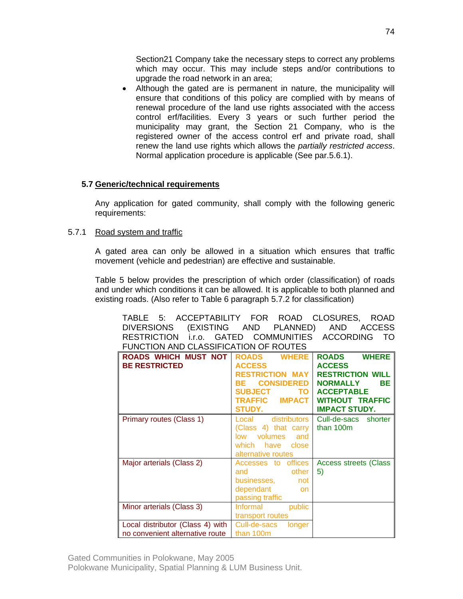Section21 Company take the necessary steps to correct any problems which may occur. This may include steps and/or contributions to upgrade the road network in an area;

• Although the gated are is permanent in nature, the municipality will ensure that conditions of this policy are complied with by means of renewal procedure of the land use rights associated with the access control erf/facilities. Every 3 years or such further period the municipality may grant, the Section 21 Company, who is the registered owner of the access control erf and private road, shall renew the land use rights which allows the *partially restricted access*. Normal application procedure is applicable (See par.5.6.1).

# **5.7 Generic/technical requirements**

Any application for gated community, shall comply with the following generic requirements:

### 5.7.1 Road system and traffic

A gated area can only be allowed in a situation which ensures that traffic movement (vehicle and pedestrian) are effective and sustainable.

Table 5 below provides the prescription of which order (classification) of roads and under which conditions it can be allowed. It is applicable to both planned and existing roads. (Also refer to Table 6 paragraph 5.7.2 for classification)

| ACCEPTABILITY FOR<br>5:<br>TABLE      | ROAD                            | CLOSURES,<br>ROAD            |
|---------------------------------------|---------------------------------|------------------------------|
| <b>DIVERSIONS</b><br>(EXISTING AND    | PLANNED)                        | <b>AND</b><br><b>ACCESS</b>  |
| <b>RESTRICTION</b><br>i.r.o. GATED    | <b>COMMUNITIES</b>              | <b>ACCORDING</b><br>TO.      |
| FUNCTION AND CLASSIFICATION OF ROUTES |                                 |                              |
| ROADS WHICH MUST NOT                  | <b>WHERE</b><br><b>ROADS</b>    | <b>WHERE</b><br><b>ROADS</b> |
| <b>BE RESTRICTED</b>                  | <b>ACCESS</b>                   | <b>ACCESS</b>                |
|                                       | <b>RESTRICTION MAY</b>          | <b>RESTRICTION WILL</b>      |
|                                       | <b>CONSIDERED</b><br>RF         | <b>BE</b><br><b>NORMALLY</b> |
|                                       | <b>TO</b><br><b>SUBJECT</b>     | <b>ACCEPTABLE</b>            |
|                                       | <b>TRAFFIC</b><br><b>IMPACT</b> | <b>WITHOUT TRAFFIC</b>       |
|                                       | <b>STUDY.</b>                   | <b>IMPACT STUDY.</b>         |
| Primary routes (Class 1)              | distributors<br>Local           | Cull-de-sacs shorter         |
|                                       | (Class 4) that carry            | than 100m                    |
|                                       | volumes<br>and<br>low           |                              |
|                                       | which<br>have<br>close          |                              |
|                                       | alternative routes              |                              |
| Major arterials (Class 2)             | Accesses to offices             | <b>Access streets (Class</b> |
|                                       | other<br>and                    | 5)                           |
|                                       | businesses,<br>not              |                              |
|                                       | dependant<br>on                 |                              |
|                                       | passing traffic                 |                              |
| Minor arterials (Class 3)             | public<br>Informal              |                              |
|                                       | transport routes                |                              |
| Local distributor (Class 4) with      | Cull-de-sacs<br>longer          |                              |
| no convenient alternative route       | than 100m                       |                              |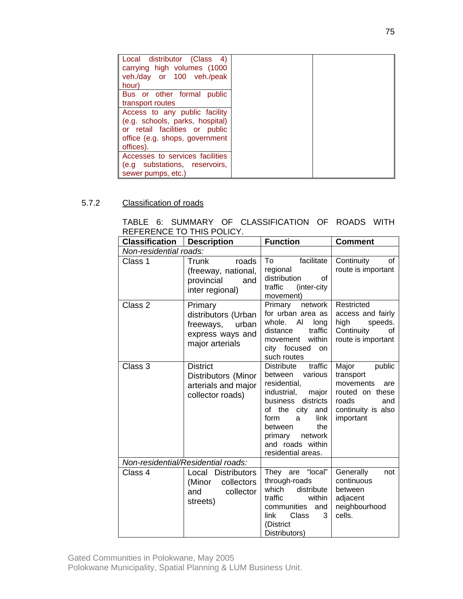| Local distributor (Class 4)<br>carrying high volumes (1000<br>veh./day or 100 veh./peak<br>hour)                                                               |
|----------------------------------------------------------------------------------------------------------------------------------------------------------------|
| Bus or other formal public<br>transport routes                                                                                                                 |
| Access to any public facility<br>(e.g. schools, parks, hospital)<br>or retail facilities or public<br>office (e.g. shops, government<br>offices).<br>offices). |
| Accesses to services facilities<br>(e.g substations, reservoirs,<br>sewer pumps, etc.)                                                                         |

# 5.7.2 Classification of roads

|  |                           | TABLE 6: SUMMARY OF CLASSIFICATION OF ROADS WITH |  |  |
|--|---------------------------|--------------------------------------------------|--|--|
|  | REFERENCE TO THIS POLICY. |                                                  |  |  |

| <b>Classification</b>  | <b>Description</b>                                                                          | <b>Function</b>                                                                                                                                                                                                                                     | <b>Comment</b>                                                                                                         |
|------------------------|---------------------------------------------------------------------------------------------|-----------------------------------------------------------------------------------------------------------------------------------------------------------------------------------------------------------------------------------------------------|------------------------------------------------------------------------------------------------------------------------|
| Non-residential roads: |                                                                                             |                                                                                                                                                                                                                                                     |                                                                                                                        |
| Class 1                | roads<br>Trunk<br>(freeway, national,<br>provincial<br>and<br>inter regional)               | facilitate<br>To<br>regional<br>distribution<br>Ωf<br>traffic<br>(inter-city<br>movement)                                                                                                                                                           | Continuity<br>οf<br>route is important                                                                                 |
| Class 2                | Primary<br>distributors (Urban<br>urban<br>freeways,<br>express ways and<br>major arterials | network<br>Primary<br>for urban area as<br>AI<br>whole.<br>long<br>traffic<br>distance<br>within<br>movement<br>city focused<br>on<br>such routes                                                                                                   | Restricted<br>access and fairly<br>high<br>speeds.<br>Continuity<br>οf<br>route is important                           |
| Class 3                | <b>District</b><br>Distributors (Minor<br>arterials and major<br>collector roads)           | traffic<br><b>Distribute</b><br>various<br>between<br>residential,<br>industrial,<br>major<br>districts<br>business<br>of the<br>city<br>and<br>form<br>link<br>a<br>the<br>between<br>network<br>primary<br>and roads within<br>residential areas. | Major<br>public<br>transport<br>movements<br>are<br>routed on these<br>roads<br>and<br>continuity is also<br>important |
|                        | Non-residential/Residential roads:                                                          |                                                                                                                                                                                                                                                     |                                                                                                                        |
| Class 4                | Local Distributors<br>collectors<br>(Minor<br>collector<br>and<br>streets)                  | "local"<br>They are<br>through-roads<br>which<br>distribute<br>traffic<br>within<br>communities<br>and<br>Class<br>link<br>3<br>(District<br>Distributors)                                                                                          | Generally<br>not<br>continuous<br>between<br>adjacent<br>neighbourhood<br>cells.                                       |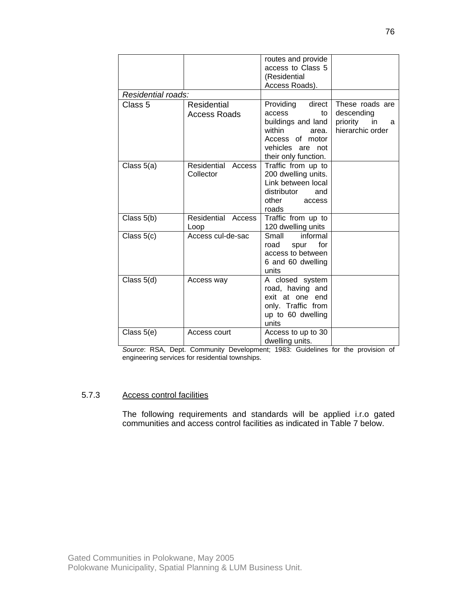|                    |                                    | routes and provide<br>access to Class 5<br>(Residential<br>Access Roads).                                                                      |                                                                          |
|--------------------|------------------------------------|------------------------------------------------------------------------------------------------------------------------------------------------|--------------------------------------------------------------------------|
| Residential roads: |                                    |                                                                                                                                                |                                                                          |
| Class 5            | Residential<br><b>Access Roads</b> | Providing direct<br>access<br>to<br>buildings and land<br>within<br>area.<br>Access of motor<br>vehicles<br>not<br>are<br>their only function. | These roads are<br>descending<br>priority<br>in<br>a<br>hierarchic order |
| Class 5(a)         | Residential<br>Access<br>Collector | Traffic from up to<br>200 dwelling units.<br>Link between local<br>distributor<br>and<br>other<br>access<br>roads                              |                                                                          |
| Class $5(b)$       | Residential Access<br>Loop         | Traffic from up to<br>120 dwelling units                                                                                                       |                                                                          |
| Class $5(c)$       | Access cul-de-sac                  | Small<br>informal<br>for<br>road<br>spur<br>access to between<br>6 and 60 dwelling<br>units                                                    |                                                                          |
| Class $5(d)$       | Access way                         | A closed system<br>road, having and<br>exit at one end<br>only. Traffic from<br>up to 60 dwelling<br>units                                     |                                                                          |
| Class $5(e)$       | Access court                       | Access to up to 30<br>dwelling units.                                                                                                          |                                                                          |

*Source*: RSA, Dept. Community Development; 1983: Guidelines for the provision of engineering services for residential townships.

### 5.7.3 Access control facilities

The following requirements and standards will be applied i.r.o gated communities and access control facilities as indicated in Table 7 below.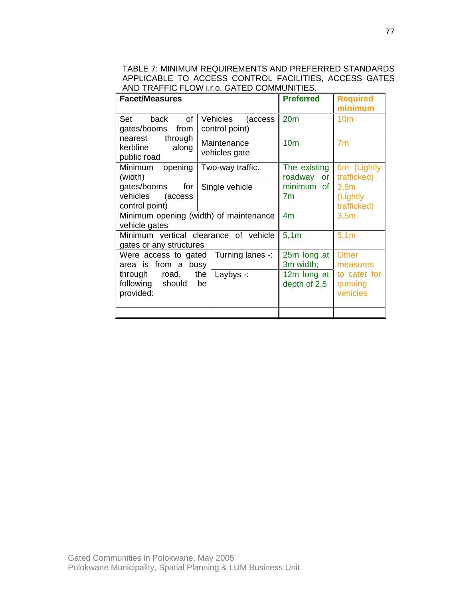TABLE 7: MINIMUM REQUIREMENTS AND PREFERRED STANDARDS APPLICABLE TO ACCESS CONTROL FACILITIES, ACCESS GATES AND TRAFFIC FLOW i.r.o. GATED COMMUNITIES.

| <b>Facet/Measures</b>                                            |                                    | <b>Preferred</b>               | <b>Required</b><br>minimum          |
|------------------------------------------------------------------|------------------------------------|--------------------------------|-------------------------------------|
| of<br>Set<br>back<br>gates/booms<br>from                         | Vehicles (access<br>control point) | 20 <sub>m</sub>                | 10 <sub>m</sub>                     |
| through<br>nearest<br>kerbline<br>along<br>public road           | Maintenance<br>vehicles gate       | 10 <sub>m</sub>                | 7 <sub>m</sub>                      |
| Minimum<br>opening<br>(width)                                    | Two-way traffic.                   | The existing<br>roadway<br>or  | 6m (Lightly<br>trafficked)          |
| gates/booms<br>for<br>vehicles<br>(access<br>control point)      | Single vehicle                     | minimum of<br>7 <sub>m</sub>   | 3,5m<br>(Lightly<br>trafficked)     |
| Minimum opening (width) of maintenance<br>vehicle gates          |                                    | 4 <sub>m</sub>                 | 3,5m                                |
| Minimum vertical clearance of vehicle<br>gates or any structures |                                    | 5,1m                           | 5,1m                                |
| Were access to gated<br>area is from a busy                      | Turning lanes -:                   | 25m long at<br>3m width;       | <b>Other</b><br>measures            |
| through road,<br>following should<br>provided:                   | Laybys $-$ :<br>the<br>be          | 12 $m$ long at<br>depth of 2,5 | to cater for<br>queuing<br>vehicles |
|                                                                  |                                    |                                |                                     |